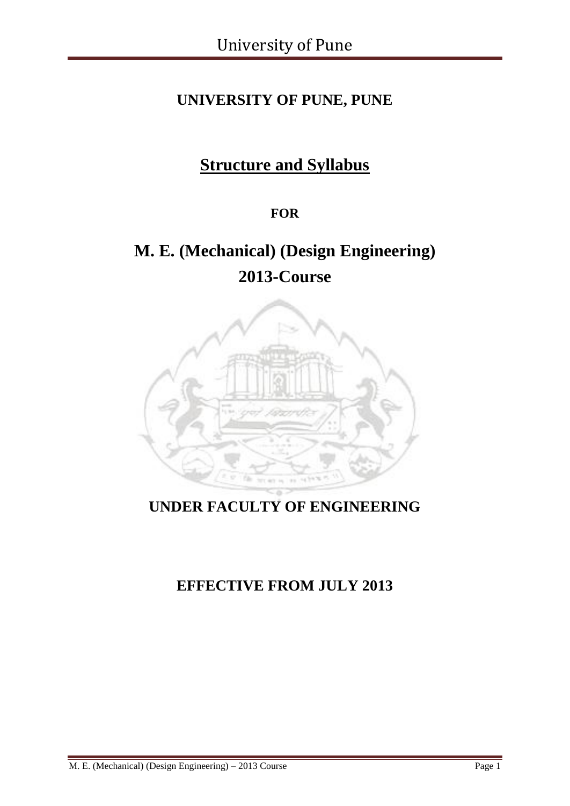# **UNIVERSITY OF PUNE, PUNE**

# **Structure and Syllabus**

### **FOR**

# **M. E. (Mechanical) (Design Engineering) 2013-Course**



# **UNDER FACULTY OF ENGINEERING**

# **EFFECTIVE FROM JULY 2013**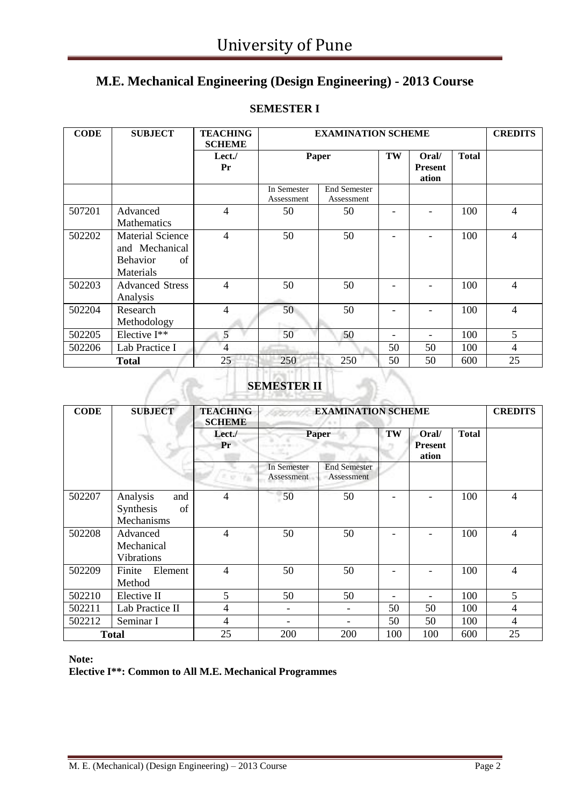### **M.E. Mechanical Engineering (Design Engineering) - 2013 Course**

| <b>CODE</b> | <b>SUBJECT</b>                                                                  | <b>TEACHING</b><br><b>SCHEME</b> |                           | <b>EXAMINATION SCHEME</b>         |    |                                  |              | <b>CREDITS</b> |
|-------------|---------------------------------------------------------------------------------|----------------------------------|---------------------------|-----------------------------------|----|----------------------------------|--------------|----------------|
|             |                                                                                 | Let.<br>Pr                       | Paper                     |                                   | TW | Oral/<br><b>Present</b><br>ation | <b>Total</b> |                |
|             |                                                                                 |                                  | In Semester<br>Assessment | <b>End Semester</b><br>Assessment |    |                                  |              |                |
| 507201      | Advanced<br><b>Mathematics</b>                                                  | $\overline{4}$                   | 50                        | 50                                |    |                                  | 100          | 4              |
| 502202      | <b>Material Science</b><br>and Mechanical<br><b>Behavior</b><br>of<br>Materials | 4                                | 50                        | 50                                |    |                                  | 100          | 4              |
| 502203      | <b>Advanced Stress</b><br>Analysis                                              | 4                                | 50                        | 50                                |    |                                  | 100          | 4              |
| 502204      | Research<br>Methodology                                                         | 4                                | 50                        | 50                                |    |                                  | 100          | 4              |
| 502205      | Elective I**                                                                    | 5                                | 50                        | 50                                |    |                                  | 100          | 5              |
| 502206      | Lab Practice I                                                                  | 4                                |                           |                                   | 50 | 50                               | 100          | 4              |
|             | <b>Total</b>                                                                    | 25                               | 250                       | 250                               | 50 | 50                               | 600          | 25             |

### **SEMESTER I**

### **SEMESTER II**

| <b>CODE</b> | <b>SUBJECT</b>                                   | <b>TEACHING</b><br><b>SCHEME</b> |                           | <b>EXAMINATION SCHEME</b>         |     |                                  |              |                |
|-------------|--------------------------------------------------|----------------------------------|---------------------------|-----------------------------------|-----|----------------------------------|--------------|----------------|
|             |                                                  | Lect.<br>Pr                      | <b>Paper</b>              |                                   | TW  | Oral/<br><b>Present</b><br>ation | <b>Total</b> |                |
|             |                                                  |                                  | In Semester<br>Assessment | <b>End Semester</b><br>Assessment |     |                                  |              |                |
| 502207      | Analysis<br>and<br>Synthesis<br>of<br>Mechanisms | $\overline{\mathcal{L}}$         | 50                        | 50                                |     |                                  | 100          | $\overline{4}$ |
| 502208      | Advanced<br>Mechanical<br><b>Vibrations</b>      | 4                                | 50                        | 50                                |     |                                  | 100          | 4              |
| 502209      | Element<br>Finite<br>Method                      | 4                                | 50                        | 50                                |     |                                  | 100          | $\overline{4}$ |
| 502210      | Elective II                                      | 5                                | 50                        | 50                                | -   |                                  | 100          | 5              |
| 502211      | Lab Practice II                                  | 4                                |                           | $\overline{\phantom{a}}$          | 50  | 50                               | 100          | 4              |
| 502212      | Seminar I                                        | 4                                |                           |                                   | 50  | 50                               | 100          | $\overline{4}$ |
|             | <b>Total</b>                                     | 25                               | 200                       | 200                               | 100 | 100                              | 600          | 25             |

**Note:**

**Elective I\*\*: Common to All M.E. Mechanical Programmes**

 $\curvearrowright$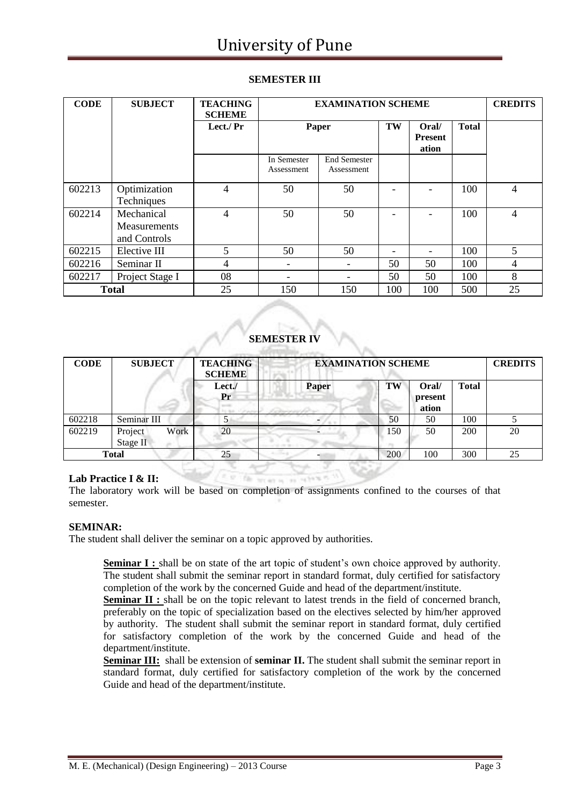#### **SEMESTER III**

| <b>CODE</b> | <b>SUBJECT</b>                                    | <b>TEACHING</b><br><b>SCHEME</b> |                           | <b>EXAMINATION SCHEME</b>         |     |                                  |              |    |
|-------------|---------------------------------------------------|----------------------------------|---------------------------|-----------------------------------|-----|----------------------------------|--------------|----|
|             |                                                   | Lect./ Pr                        | Paper                     |                                   | TW  | Oral/<br><b>Present</b><br>ation | <b>Total</b> |    |
|             |                                                   |                                  | In Semester<br>Assessment | <b>End Semester</b><br>Assessment |     |                                  |              |    |
| 602213      | Optimization<br>Techniques                        | $\overline{4}$                   | 50                        | 50                                |     |                                  | 100          | 4  |
| 602214      | Mechanical<br><b>Measurements</b><br>and Controls | 4                                | 50                        | 50                                |     |                                  | 100          | 4  |
| 602215      | Elective III                                      | 5                                | 50                        | 50                                |     |                                  | 100          | 5  |
| 602216      | Seminar II                                        | 4                                | -                         | $\overline{\phantom{a}}$          | 50  | 50                               | 100          | 4  |
| 602217      | Project Stage I                                   | 08                               |                           | -                                 | 50  | 50                               | 100          | 8  |
|             | <b>Total</b>                                      | 25                               | 150                       | 150                               | 100 | 100                              | 500          | 25 |

#### **SEMESTER IV**

| <b>CODE</b> | <b>SUBJECT</b>              | <b>TEACHING</b><br><b>SCHEME</b> | <b>EXAMINATION SCHEME</b> |     |                           |              | <b>CREDITS</b> |
|-------------|-----------------------------|----------------------------------|---------------------------|-----|---------------------------|--------------|----------------|
|             |                             | Lect.<br>Pr                      | <b>Paper</b>              | TW  | Oral/<br>present<br>ation | <b>Total</b> |                |
| 602218      | Seminar III                 |                                  |                           | 50  | 50                        | 100          |                |
| 602219      | Work<br>Project<br>Stage II | 20                               |                           | 150 | 50                        | 200          | 20             |
|             | <b>Total</b>                | 25                               | $-14.4$                   | 200 | 100                       | 300          | 25             |

#### **Lab Practice I & II:**

The laboratory work will be based on completion of assignments confined to the courses of that semester.

#### **SEMINAR:**

The student shall deliver the seminar on a topic approved by authorities.

**Seminar I :** shall be on state of the art topic of student's own choice approved by authority. The student shall submit the seminar report in standard format, duly certified for satisfactory completion of the work by the concerned Guide and head of the department/institute.

**Seminar II :** shall be on the topic relevant to latest trends in the field of concerned branch, preferably on the topic of specialization based on the electives selected by him/her approved by authority. The student shall submit the seminar report in standard format, duly certified for satisfactory completion of the work by the concerned Guide and head of the department/institute.

**Seminar III:** shall be extension of **seminar II.** The student shall submit the seminar report in standard format, duly certified for satisfactory completion of the work by the concerned Guide and head of the department/institute.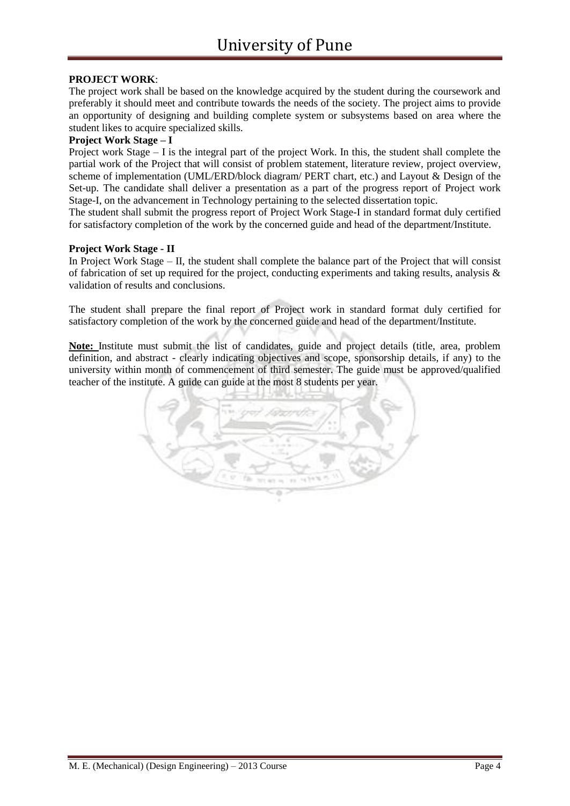#### **PROJECT WORK**:

The project work shall be based on the knowledge acquired by the student during the coursework and preferably it should meet and contribute towards the needs of the society. The project aims to provide an opportunity of designing and building complete system or subsystems based on area where the student likes to acquire specialized skills.

#### **Project Work Stage – I**

Project work Stage – I is the integral part of the project Work. In this, the student shall complete the partial work of the Project that will consist of problem statement, literature review, project overview, scheme of implementation (UML/ERD/block diagram/ PERT chart, etc.) and Layout & Design of the Set-up. The candidate shall deliver a presentation as a part of the progress report of Project work Stage-I, on the advancement in Technology pertaining to the selected dissertation topic.

The student shall submit the progress report of Project Work Stage-I in standard format duly certified for satisfactory completion of the work by the concerned guide and head of the department/Institute.

#### **Project Work Stage - II**

In Project Work Stage – II, the student shall complete the balance part of the Project that will consist of fabrication of set up required for the project, conducting experiments and taking results, analysis & validation of results and conclusions.

The student shall prepare the final report of Project work in standard format duly certified for satisfactory completion of the work by the concerned guide and head of the department/Institute.

Note: Institute must submit the list of candidates, guide and project details (title, area, problem definition, and abstract - clearly indicating objectives and scope, sponsorship details, if any) to the university within month of commencement of third semester. The guide must be approved/qualified teacher of the institute. A guide can guide at the most 8 students per year.

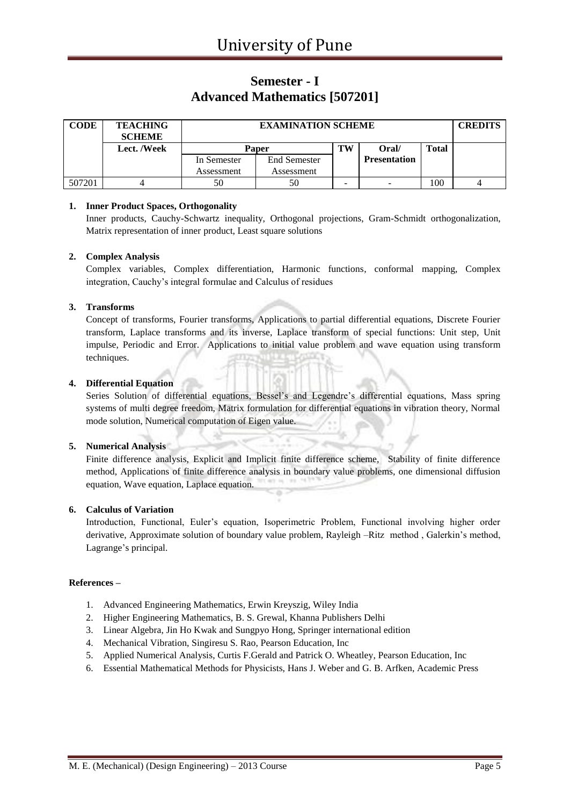### **Semester - I Advanced Mathematics [507201]**

| CODE   | <b>TEACHING</b><br><b>SCHEME</b> |              | <b>EXAMINATION SCHEME</b> |   |                     |              |  |  |
|--------|----------------------------------|--------------|---------------------------|---|---------------------|--------------|--|--|
|        | Lect. /Week                      | <b>Paper</b> |                           |   | Oral/               | <b>Total</b> |  |  |
|        |                                  | In Semester  | <b>End Semester</b>       |   | <b>Presentation</b> |              |  |  |
|        |                                  | Assessment   | Assessment                |   |                     |              |  |  |
| 507201 |                                  | 50           | 50                        | - | -                   | 100          |  |  |

#### **1. Inner Product Spaces, Orthogonality**

Inner products, Cauchy-Schwartz inequality, Orthogonal projections, Gram-Schmidt orthogonalization, Matrix representation of inner product, Least square solutions

#### **2. Complex Analysis**

Complex variables, Complex differentiation, Harmonic functions, conformal mapping, Complex integration, Cauchy's integral formulae and Calculus of residues

#### **3. Transforms**

Concept of transforms, Fourier transforms, Applications to partial differential equations, Discrete Fourier transform, Laplace transforms and its inverse, Laplace transform of special functions: Unit step, Unit impulse, Periodic and Error. Applications to initial value problem and wave equation using transform techniques.

#### **4. Differential Equation**

Series Solution of differential equations, Bessel's and Legendre's differential equations, Mass spring systems of multi degree freedom, Matrix formulation for differential equations in vibration theory, Normal mode solution, Numerical computation of Eigen value.

#### **5. Numerical Analysis**

Finite difference analysis, Explicit and Implicit finite difference scheme, Stability of finite difference method, Applications of finite difference analysis in boundary value problems, one dimensional diffusion equation, Wave equation, Laplace equation.

#### **6. Calculus of Variation**

Introduction, Functional, Euler's equation, Isoperimetric Problem, Functional involving higher order derivative, Approximate solution of boundary value problem, Rayleigh –Ritz method , Galerkin's method, Lagrange's principal.

#### **References –**

- 1. Advanced Engineering Mathematics, Erwin Kreyszig, Wiley India
- 2. Higher Engineering Mathematics, B. S. Grewal, Khanna Publishers Delhi
- 3. Linear Algebra, Jin Ho Kwak and Sungpyo Hong, Springer international edition
- 4. Mechanical Vibration, Singiresu S. Rao, Pearson Education, Inc
- 5. Applied Numerical Analysis, Curtis F.Gerald and Patrick O. Wheatley, Pearson Education, Inc
- 6. Essential Mathematical Methods for Physicists, Hans J. Weber and G. B. Arfken, Academic Press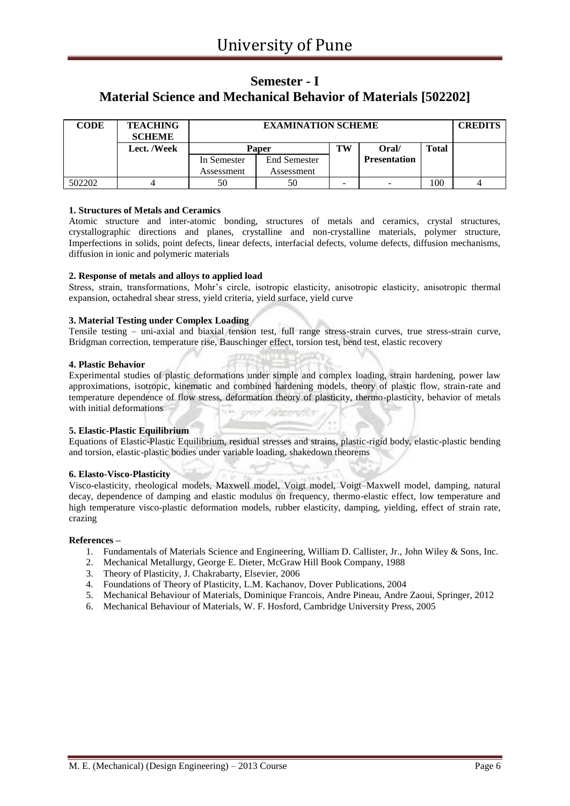### **Semester - I Material Science and Mechanical Behavior of Materials [502202]**

| <b>CODE</b> | <b>TEACHING</b><br><b>SCHEME</b> |             | <b>CREDITS</b>      |    |                     |              |  |
|-------------|----------------------------------|-------------|---------------------|----|---------------------|--------------|--|
|             | Lect. /Week                      |             | <b>Paper</b>        | TW | Oral/               | <b>Total</b> |  |
|             |                                  | In Semester | <b>End Semester</b> |    | <b>Presentation</b> |              |  |
|             |                                  | Assessment  | Assessment          |    |                     |              |  |
| 502202      |                                  | 50          | 50                  | -  | -                   | 100          |  |

#### **1. Structures of Metals and Ceramics**

Atomic structure and inter-atomic bonding, structures of metals and ceramics, crystal structures, crystallographic directions and planes, crystalline and non-crystalline materials, polymer structure, Imperfections in solids, point defects, linear defects, interfacial defects, volume defects, diffusion mechanisms, diffusion in ionic and polymeric materials

#### **2. Response of metals and alloys to applied load**

Stress, strain, transformations, Mohr's circle, isotropic elasticity, anisotropic elasticity, anisotropic thermal expansion, octahedral shear stress, yield criteria, yield surface, yield curve

#### **3. Material Testing under Complex Loading**

Tensile testing – uni-axial and biaxial tension test, full range stress-strain curves, true stress-strain curve, Bridgman correction, temperature rise, Bauschinger effect, torsion test, bend test, elastic recovery

#### **4. Plastic Behavior**

Experimental studies of plastic deformations under simple and complex loading, strain hardening, power law approximations, isotropic, kinematic and combined hardening models, theory of plastic flow, strain-rate and temperature dependence of flow stress, deformation theory of plasticity, thermo-plasticity, behavior of metals with initial deformations

#### **5. Elastic-Plastic Equilibrium**

Equations of Elastic-Plastic Equilibrium, residual stresses and strains, plastic-rigid body, elastic-plastic bending and torsion, elastic-plastic bodies under variable loading, shakedown theorems

#### **6. Elasto-Visco-Plasticity**

Visco-elasticity, rheological models, Maxwell model, Voigt model, Voigt–Maxwell model, damping, natural decay, dependence of damping and elastic modulus on frequency, thermo-elastic effect, low temperature and high temperature visco-plastic deformation models, rubber elasticity, damping, yielding, effect of strain rate, crazing

#### **References –**

- 1. Fundamentals of Materials Science and Engineering, William D. Callister, Jr., John Wiley & Sons, Inc.
- 2. Mechanical Metallurgy, George E. Dieter, McGraw Hill Book Company, 1988
- 3. Theory of Plasticity, J. Chakrabarty, Elsevier, 2006
- 4. Foundations of Theory of Plasticity, L.M. Kachanov, Dover Publications, 2004
- 5. Mechanical Behaviour of Materials, Dominique Francois, Andre Pineau, Andre Zaoui, Springer, 2012
- 6. Mechanical Behaviour of Materials, W. F. Hosford, Cambridge University Press, 2005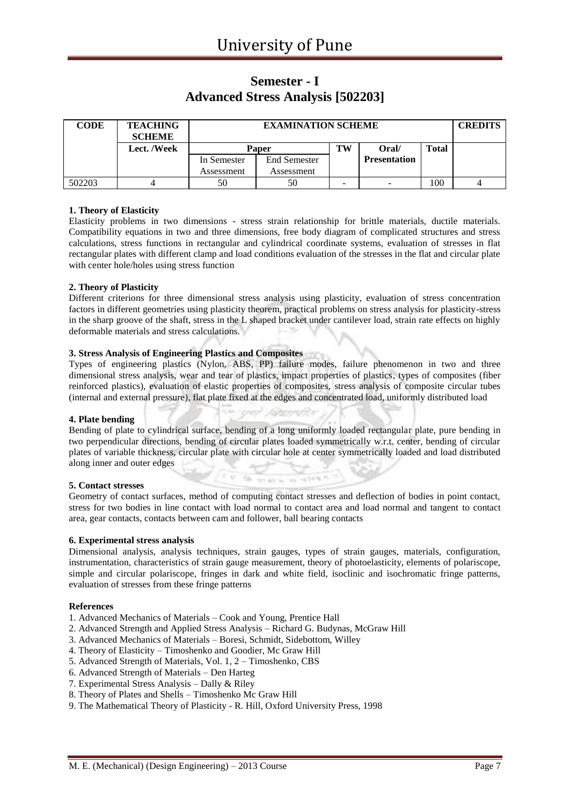### **Semester - I Advanced Stress Analysis [502203]**

| <b>CODE</b> | <b>TEACHING</b><br><b>SCHEME</b> |             | <b>EXAMINATION SCHEME</b> |    |                     |              |  |  |
|-------------|----------------------------------|-------------|---------------------------|----|---------------------|--------------|--|--|
|             | Lect. /Week                      |             | <b>Paper</b>              | TW | Oral/               | <b>Total</b> |  |  |
|             |                                  | In Semester | <b>End Semester</b>       |    | <b>Presentation</b> |              |  |  |
|             |                                  | Assessment  | Assessment                |    |                     |              |  |  |
| 502203      |                                  | 50          | 50                        | -  | -                   | 100          |  |  |

#### **1. Theory of Elasticity**

Elasticity problems in two dimensions - stress strain relationship for brittle materials, ductile materials. Compatibility equations in two and three dimensions, free body diagram of complicated structures and stress calculations, stress functions in rectangular and cylindrical coordinate systems, evaluation of stresses in flat rectangular plates with different clamp and load conditions evaluation of the stresses in the flat and circular plate with center hole/holes using stress function

#### **2. Theory of Plasticity**

Different criterions for three dimensional stress analysis using plasticity, evaluation of stress concentration factors in different geometries using plasticity theorem, practical problems on stress analysis for plasticity-stress in the sharp groove of the shaft, stress in the L shaped bracket under cantilever load, strain rate effects on highly deformable materials and stress calculations.

#### **3. Stress Analysis of Engineering Plastics and Composites**

Types of engineering plastics (Nylon, ABS, PP) failure modes, failure phenomenon in two and three dimensional stress analysis, wear and tear of plastics, impact properties of plastics, types of composites (fiber reinforced plastics), evaluation of elastic properties of composites, stress analysis of composite circular tubes (internal and external pressure), flat plate fixed at the edges and concentrated load, uniformly distributed load

#### **4. Plate bending**

Bending of plate to cylindrical surface, bending of a long uniformly loaded rectangular plate, pure bending in two perpendicular directions, bending of circular plates loaded symmetrically w.r.t. center, bending of circular plates of variable thickness, circular plate with circular hole at center symmetrically loaded and load distributed along inner and outer edges

#### **5. Contact stresses**

Geometry of contact surfaces, method of computing contact stresses and deflection of bodies in point contact, stress for two bodies in line contact with load normal to contact area and load normal and tangent to contact area, gear contacts, contacts between cam and follower, ball bearing contacts

 $45 + 12 + 12 + 2$ 

#### **6. Experimental stress analysis**

Dimensional analysis, analysis techniques, strain gauges, types of strain gauges, materials, configuration, instrumentation, characteristics of strain gauge measurement, theory of photoelasticity, elements of polariscope, simple and circular polariscope, fringes in dark and white field, isoclinic and isochromatic fringe patterns, evaluation of stresses from these fringe patterns

#### **References**

- 1. Advanced Mechanics of Materials Cook and Young, Prentice Hall
- 2. Advanced Strength and Applied Stress Analysis Richard G. Budynas, McGraw Hill

**Che** 

- 3. Advanced Mechanics of Materials Boresi, Schmidt, Sidebottom, Willey
- 4. Theory of Elasticity Timoshenko and Goodier, Mc Graw Hill
- 5. Advanced Strength of Materials, Vol. 1, 2 Timoshenko, CBS
- 6. Advanced Strength of Materials Den Harteg
- 7. Experimental Stress Analysis Dally & Riley
- 8. Theory of Plates and Shells Timoshenko Mc Graw Hill
- 9. The Mathematical Theory of Plasticity R. Hill, Oxford University Press, 1998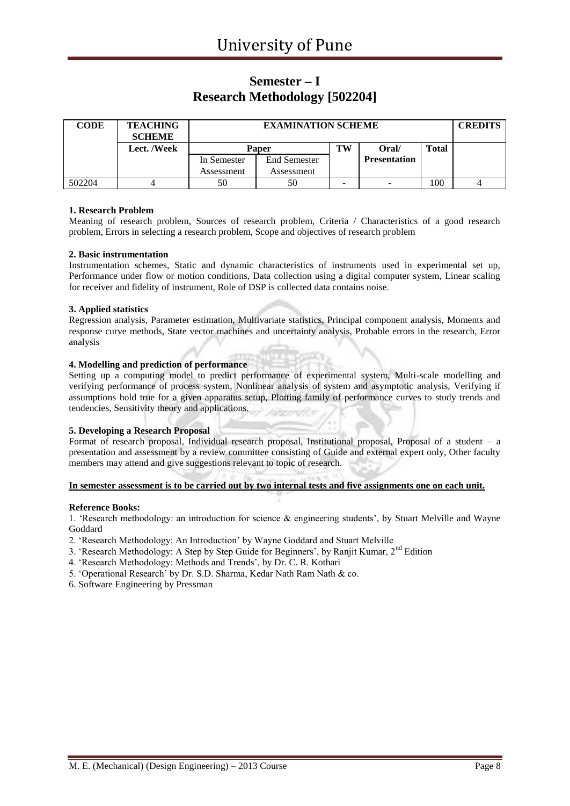### **Semester – I Research Methodology [502204]**

| <b>CODE</b> | <b>TEACHING</b><br><b>SCHEME</b> |             | <b>EXAMINATION SCHEME</b> |    |                     |              |  |  |
|-------------|----------------------------------|-------------|---------------------------|----|---------------------|--------------|--|--|
|             | Lect. /Week                      |             | <b>Paper</b>              | TW | Oral/               | <b>Total</b> |  |  |
|             |                                  | In Semester | <b>End Semester</b>       |    | <b>Presentation</b> |              |  |  |
|             |                                  | Assessment  | Assessment                |    |                     |              |  |  |
| 502204      |                                  | 50          | 50                        | -  | -                   | 100          |  |  |

#### **1. Research Problem**

Meaning of research problem, Sources of research problem, Criteria / Characteristics of a good research problem, Errors in selecting a research problem, Scope and objectives of research problem

#### **2. Basic instrumentation**

Instrumentation schemes, Static and dynamic characteristics of instruments used in experimental set up, Performance under flow or motion conditions, Data collection using a digital computer system, Linear scaling for receiver and fidelity of instrument, Role of DSP is collected data contains noise.

#### **3. Applied statistics**

Regression analysis, Parameter estimation, Multivariate statistics, Principal component analysis, Moments and response curve methods, State vector machines and uncertainty analysis, Probable errors in the research, Error analysis

#### **4. Modelling and prediction of performance**

Setting up a computing model to predict performance of experimental system, Multi-scale modelling and verifying performance of process system, Nonlinear analysis of system and asymptotic analysis, Verifying if assumptions hold true for a given apparatus setup, Plotting family of performance curves to study trends and tendencies, Sensitivity theory and applications.

#### **5. Developing a Research Proposal**

Format of research proposal, Individual research proposal, Institutional proposal, Proposal of a student – a presentation and assessment by a review committee consisting of Guide and external expert only, Other faculty members may attend and give suggestions relevant to topic of research.

#### **In semester assessment is to be carried out by two internal tests and five assignments one on each unit.**

#### **Reference Books:**

1. 'Research methodology: an introduction for science & engineering students', by Stuart Melville and Wayne Goddard

- 2. 'Research Methodology: An Introduction' by Wayne Goddard and Stuart Melville
- 3. 'Research Methodology: A Step by Step Guide for Beginners', by Ranjit Kumar, 2<sup>nd</sup> Edition
- 4. 'Research Methodology: Methods and Trends', by Dr. C. R. Kothari
- 5. 'Operational Research' by Dr. S.D. Sharma, Kedar Nath Ram Nath & co.

6. Software Engineering by Pressman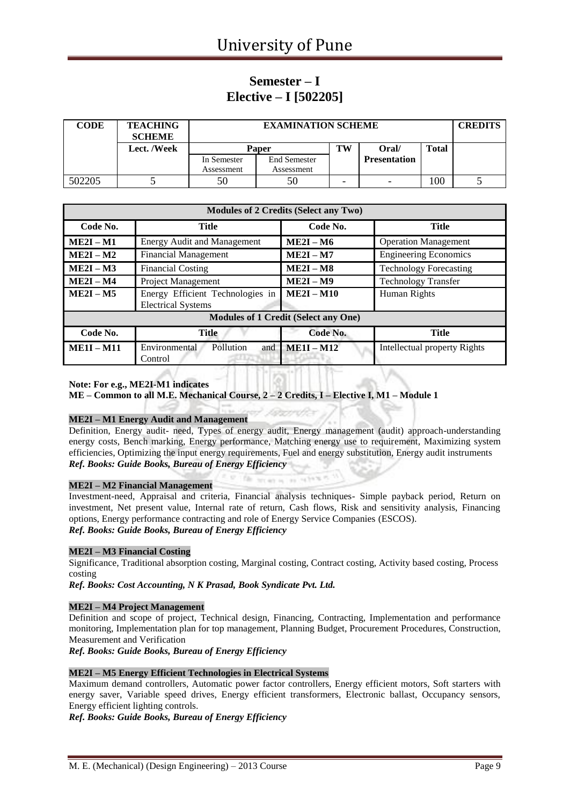### **Semester – I Elective – I [502205]**

| <b>CODE</b> | <b>TEACHING</b><br><b>SCHEME</b> |             | <b>EXAMINATION SCHEME</b> |   |                     |              |  |  |
|-------------|----------------------------------|-------------|---------------------------|---|---------------------|--------------|--|--|
|             | Lect. /Week                      | TW<br>Paper |                           |   | Oral/               | <b>Total</b> |  |  |
|             |                                  | In Semester | End Semester              |   | <b>Presentation</b> |              |  |  |
|             |                                  | Assessment  | Assessment                |   |                     |              |  |  |
| 502205      |                                  | 50          | 50                        | - | -                   | 100          |  |  |

|              |                                                               | <b>Modules of 2 Credits (Select any Two)</b> |                               |
|--------------|---------------------------------------------------------------|----------------------------------------------|-------------------------------|
| Code No.     | Title                                                         | Code No.                                     | <b>Title</b>                  |
| $ME2I - M1$  | <b>Energy Audit and Management</b>                            | $ME2I - M6$                                  | <b>Operation Management</b>   |
| $ME2I - M2$  | <b>Financial Management</b>                                   | $ME2I - M7$                                  | <b>Engineering Economics</b>  |
| $ME2I - M3$  | <b>Financial Costing</b>                                      | $ME2I - M8$                                  | <b>Technology Forecasting</b> |
| $ME2I - M4$  | Project Management                                            | $ME2I - M9$                                  | <b>Technology Transfer</b>    |
| $ME2I - M5$  | Energy Efficient Technologies in<br><b>Electrical Systems</b> | $ME2I - M10$                                 | Human Rights                  |
|              |                                                               | <b>Modules of 1 Credit (Select any One)</b>  |                               |
| Code No.     | <b>Title</b>                                                  | Code No.                                     | Title                         |
| $ME1I - M11$ | Environmental<br>Pollution<br>and<br>Control                  | $ME1I - M12$                                 | Intellectual property Rights  |

#### **Note: For e.g., ME2I-M1 indicates**

**ME – Common to all M.E. Mechanical Course, 2 – 2 Credits, I – Elective I, M1 – Module 1**

#### **ME2I – M1 Energy Audit and Management**

Definition, Energy audit- need, Types of energy audit, Energy management (audit) approach-understanding energy costs, Bench marking, Energy performance, Matching energy use to requirement, Maximizing system efficiencies, Optimizing the input energy requirements, Fuel and energy substitution, Energy audit instruments *Ref. Books: Guide Books, Bureau of Energy Efficiency*

#### **ME2I – M2 Financial Management**

Investment-need, Appraisal and criteria, Financial analysis techniques- Simple payback period, Return on investment, Net present value, Internal rate of return, Cash flows, Risk and sensitivity analysis, Financing options, Energy performance contracting and role of Energy Service Companies (ESCOS). *Ref. Books: Guide Books, Bureau of Energy Efficiency*

#### **ME2I – M3 Financial Costing**

Significance, Traditional absorption costing, Marginal costing, Contract costing, Activity based costing, Process costing

*Ref. Books: Cost Accounting, N K Prasad, Book Syndicate Pvt. Ltd.*

#### **ME2I – M4 Project Management**

Definition and scope of project, Technical design, Financing, Contracting, Implementation and performance monitoring, Implementation plan for top management, Planning Budget, Procurement Procedures, Construction, Measurement and Verification

*Ref. Books: Guide Books, Bureau of Energy Efficiency*

#### **ME2I – M5 Energy Efficient Technologies in Electrical Systems**

Maximum demand controllers, Automatic power factor controllers, Energy efficient motors, Soft starters with energy saver, Variable speed drives, Energy efficient transformers, Electronic ballast, Occupancy sensors, Energy efficient lighting controls.

*Ref. Books: Guide Books, Bureau of Energy Efficiency*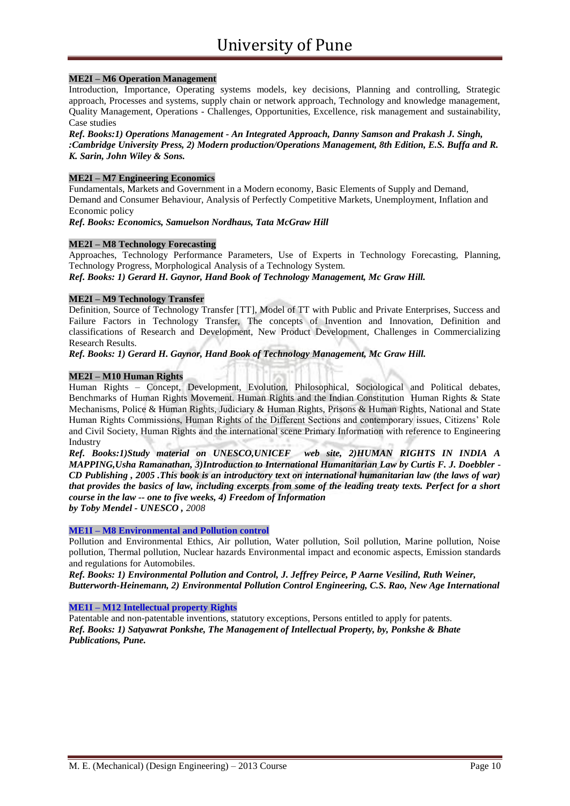#### **ME2I – M6 Operation Management**

Introduction, Importance, Operating systems models, key decisions, Planning and controlling, Strategic approach, Processes and systems, supply chain or network approach, Technology and knowledge management, Quality Management, Operations - Challenges, Opportunities, Excellence, risk management and sustainability, Case studies

*Ref. Books:1) Operations Management - An Integrated Approach, Danny Samson and Prakash J. Singh, :Cambridge University Press, 2) Modern production/Operations Management, 8th Edition, E.S. Buffa and R. K. Sarin, John Wiley & Sons.*

#### **ME2I – M7 Engineering Economics**

Fundamentals, Markets and Government in a Modern economy, Basic Elements of Supply and Demand, Demand and Consumer Behaviour, Analysis of Perfectly Competitive Markets, Unemployment, Inflation and Economic policy

*Ref. Books: Economics, Samuelson Nordhaus, Tata McGraw Hill*

#### **ME2I – M8 Technology Forecasting**

Approaches, Technology Performance Parameters, Use of Experts in Technology Forecasting, Planning, Technology Progress, Morphological Analysis of a Technology System.

*Ref. Books: 1) Gerard H. Gaynor, Hand Book of Technology Management, Mc Graw Hill.*

#### **ME2I – M9 Technology Transfer**

Definition, Source of Technology Transfer [TT], Model of TT with Public and Private Enterprises, Success and Failure Factors in Technology Transfer, The concepts of Invention and Innovation, Definition and classifications of Research and Development, New Product Development, Challenges in Commercializing Research Results.

*Ref. Books: 1) Gerard H. Gaynor, Hand Book of Technology Management, Mc Graw Hill.*

#### **ME2I – M10 Human Rights**

Human Rights – Concept, Development, Evolution, Philosophical, Sociological and Political debates, Benchmarks of Human Rights Movement. Human Rights and the Indian Constitution Human Rights & State Mechanisms, Police & Human Rights, Judiciary & Human Rights, Prisons & Human Rights, National and State Human Rights Commissions, Human Rights of the Different Sections and contemporary issues, Citizens' Role and Civil Society, Human Rights and the international scene Primary Information with reference to Engineering Industry

*Ref. Books:1)Study material on UNESCO,UNICEF web site, 2)HUMAN RIGHTS IN INDIA A MAPPING,Usha Ramanathan, 3)Introduction to International Humanitarian Law by Curtis F. J. Doebbler - CD Publishing , 2005 .This book is an introductory text on international humanitarian law (the laws of war) that provides the basics of law, including excerpts from some of the leading treaty texts. Perfect for a short course in the law -- one to five weeks, 4) Freedom of Information by Toby Mendel - UNESCO , 2008*

**ME1I – M8 Environmental and Pollution control**

Pollution and Environmental Ethics, Air pollution, Water pollution, Soil pollution, Marine pollution, Noise pollution, Thermal pollution, Nuclear hazards Environmental impact and economic aspects, Emission standards and regulations for Automobiles.

*Ref. Books: 1) Environmental Pollution and Control, [J. Jeffrey Peirce,](http://www.google.co.in/search?tbo=p&tbm=bks&q=inauthor:%22J.+Jeffrey+Peirce%22) [P Aarne Vesilind,](http://www.google.co.in/search?tbo=p&tbm=bks&q=inauthor:%22P+Aarne+Vesilind%22) [Ruth Weiner,](http://www.google.co.in/search?tbo=p&tbm=bks&q=inauthor:%22Ruth+Weiner%22) Butterworth-Heinemann, 2) Environmental Pollution Control Engineering, C.S. Rao, New Age International*

#### **ME1I – M12 Intellectual property Rights**

Patentable and non-patentable inventions, statutory exceptions, Persons entitled to apply for patents. *Ref. Books: 1) Satyawrat Ponkshe, The Management of Intellectual Property, by, Ponkshe & Bhate Publications, Pune.*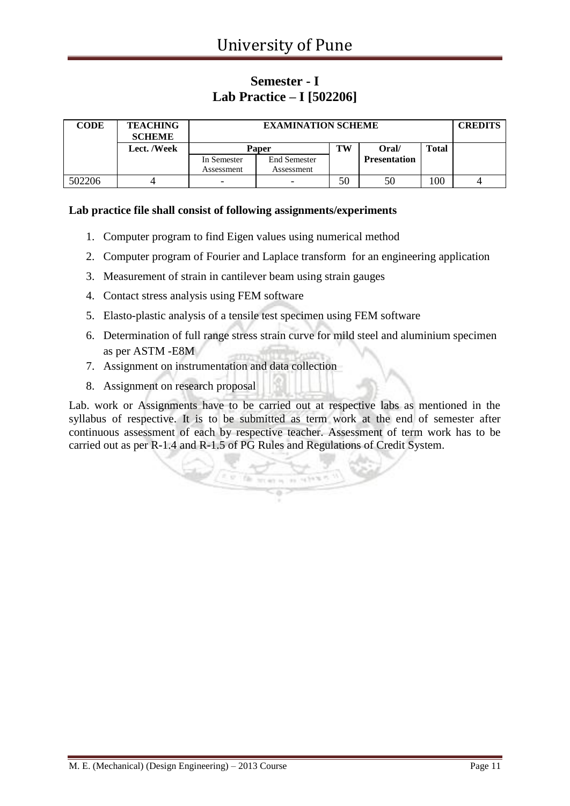### **Semester - I Lab Practice – I [502206]**

| <b>CODE</b> | <b>TEACHING</b><br><b>SCHEME</b> |                          | <b>EXAMINATION SCHEME</b> |    |                     |              |  |  |
|-------------|----------------------------------|--------------------------|---------------------------|----|---------------------|--------------|--|--|
|             | Lect. /Week                      |                          | Paper                     | TW | Oral/               | <b>Total</b> |  |  |
|             |                                  | In Semester              | <b>End Semester</b>       |    | <b>Presentation</b> |              |  |  |
|             |                                  | Assessment               | Assessment                |    |                     |              |  |  |
| 502206      |                                  | $\overline{\phantom{0}}$ | -                         | 50 | 50                  | 100          |  |  |

#### **Lab practice file shall consist of following assignments/experiments**

- 1. Computer program to find Eigen values using numerical method
- 2. Computer program of Fourier and Laplace transform for an engineering application
- 3. Measurement of strain in cantilever beam using strain gauges
- 4. Contact stress analysis using FEM software
- 5. Elasto-plastic analysis of a tensile test specimen using FEM software
- 6. Determination of full range stress strain curve for mild steel and aluminium specimen as per ASTM -E8M
- 7. Assignment on instrumentation and data collection
- 8. Assignment on research proposal

Lab. work or Assignments have to be carried out at respective labs as mentioned in the syllabus of respective. It is to be submitted as term work at the end of semester after continuous assessment of each by respective teacher. Assessment of term work has to be carried out as per R-1.4 and R-1.5 of PG Rules and Regulations of Credit System.

aces is an integral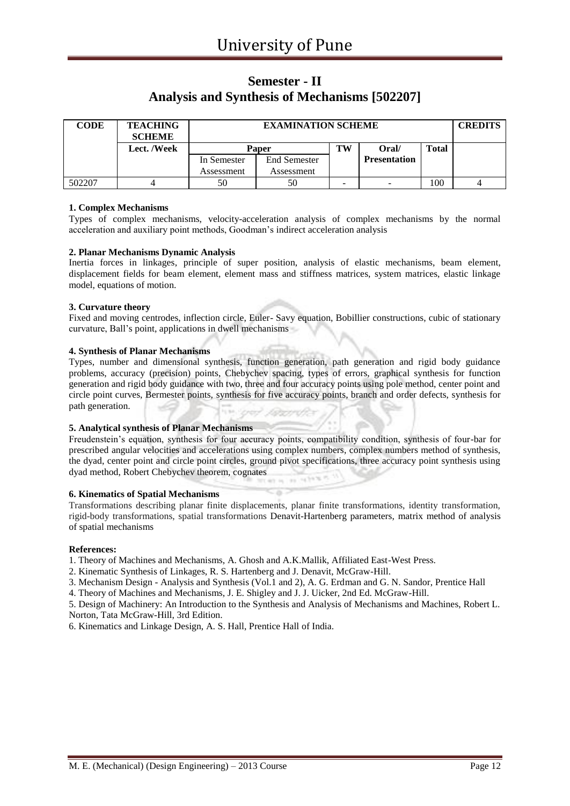### **Semester - II Analysis and Synthesis of Mechanisms [502207]**

| <b>CODE</b> | <b>TEACHING</b><br><b>SCHEME</b> |             | <b>EXAMINATION SCHEME</b> |    |                     |              |  |  |
|-------------|----------------------------------|-------------|---------------------------|----|---------------------|--------------|--|--|
|             | Lect. /Week                      |             | <b>Paper</b>              | TW | Oral/               | <b>Total</b> |  |  |
|             |                                  | In Semester | <b>End Semester</b>       |    | <b>Presentation</b> |              |  |  |
|             |                                  | Assessment  | Assessment                |    |                     |              |  |  |
| 502207      |                                  | 50          | 50                        | -  | -                   | 100          |  |  |

#### **1. Complex Mechanisms**

Types of complex mechanisms, velocity-acceleration analysis of complex mechanisms by the normal acceleration and auxiliary point methods, Goodman's indirect acceleration analysis

#### **2. Planar Mechanisms Dynamic Analysis**

Inertia forces in linkages, principle of super position, analysis of elastic mechanisms, beam element, displacement fields for beam element, element mass and stiffness matrices, system matrices, elastic linkage model, equations of motion.

#### **3. Curvature theory**

Fixed and moving centrodes, inflection circle, Euler- Savy equation, Bobillier constructions, cubic of stationary curvature, Ball's point, applications in dwell mechanisms

#### **4. Synthesis of Planar Mechanisms**

Types, number and dimensional synthesis, function generation, path generation and rigid body guidance problems, accuracy (precision) points, Chebychev spacing, types of errors, graphical synthesis for function generation and rigid body guidance with two, three and four accuracy points using pole method, center point and circle point curves, Bermester points, synthesis for five accuracy points, branch and order defects, synthesis for path generation.

#### **5. Analytical synthesis of Planar Mechanisms**

Freudenstein's equation, synthesis for four accuracy points, compatibility condition, synthesis of four-bar for prescribed angular velocities and accelerations using complex numbers, complex numbers method of synthesis, the dyad, center point and circle point circles, ground pivot specifications, three accuracy point synthesis using dyad method, Robert Chebychev theorem, cognates

#### **6. Kinematics of Spatial Mechanisms**

Transformations describing planar finite displacements, planar finite transformations, identity transformation, rigid-body transformations, spatial transformations Denavit-Hartenberg parameters, matrix method of analysis of spatial mechanisms

#### **References:**

1. Theory of Machines and Mechanisms, A. Ghosh and A.K.Mallik, Affiliated East-West Press.

2. Kinematic Synthesis of Linkages, R. S. Hartenberg and J. Denavit, McGraw-Hill.

3. Mechanism Design - Analysis and Synthesis (Vol.1 and 2), A. G. Erdman and G. N. Sandor, Prentice Hall

4. Theory of Machines and Mechanisms, J. E. Shigley and J. J. Uicker, 2nd Ed. McGraw-Hill.

5. Design of Machinery: An Introduction to the Synthesis and Analysis of Mechanisms and Machines, Robert L. Norton, Tata McGraw-Hill, 3rd Edition.

6. Kinematics and Linkage Design, A. S. Hall, Prentice Hall of India.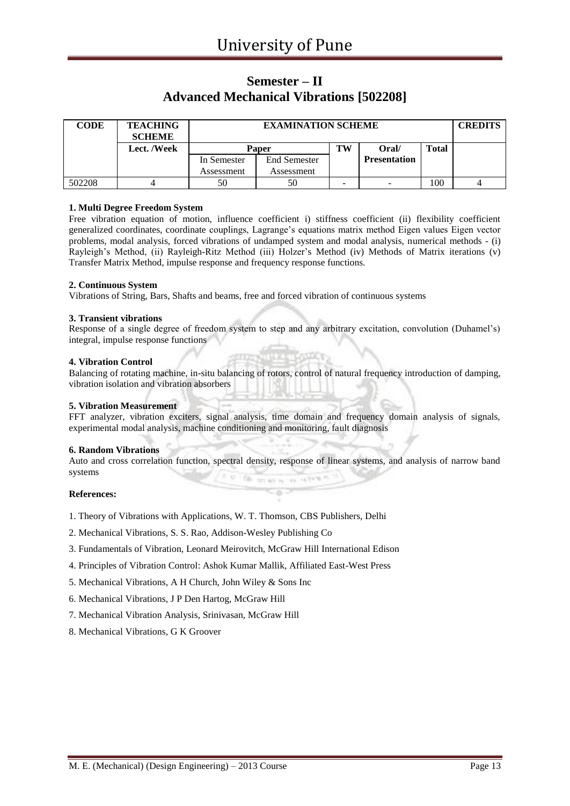### **Semester – II Advanced Mechanical Vibrations [502208]**

| <b>CODE</b> | <b>TEACHING</b><br><b>SCHEME</b> |              | <b>EXAMINATION SCHEME</b> |    |                     |              |  |  |
|-------------|----------------------------------|--------------|---------------------------|----|---------------------|--------------|--|--|
|             | Lect. /Week                      | <b>Paper</b> |                           | TW | Oral/               | <b>Total</b> |  |  |
|             |                                  | In Semester  | <b>End Semester</b>       |    | <b>Presentation</b> |              |  |  |
|             |                                  | Assessment   | Assessment                |    |                     |              |  |  |
| 502208      |                                  | 50           | 50                        | -  | -                   | 100          |  |  |

#### **1. Multi Degree Freedom System**

Free vibration equation of motion, influence coefficient i) stiffness coefficient (ii) flexibility coefficient generalized coordinates, coordinate couplings, Lagrange's equations matrix method Eigen values Eigen vector problems, modal analysis, forced vibrations of undamped system and modal analysis, numerical methods - (i) Rayleigh's Method, (ii) Rayleigh-Ritz Method (iii) Holzer's Method (iv) Methods of Matrix iterations (v) Transfer Matrix Method, impulse response and frequency response functions.

#### **2. Continuous System**

Vibrations of String, Bars, Shafts and beams, free and forced vibration of continuous systems

#### **3. Transient vibrations**

Response of a single degree of freedom system to step and any arbitrary excitation, convolution (Duhamel's) integral, impulse response functions

#### **4. Vibration Control**

Balancing of rotating machine, in-situ balancing of rotors, control of natural frequency introduction of damping, vibration isolation and vibration absorbers

#### **5. Vibration Measurement**

FFT analyzer, vibration exciters, signal analysis, time domain and frequency domain analysis of signals, experimental modal analysis, machine conditioning and monitoring, fault diagnosis

#### **6. Random Vibrations**

Auto and cross correlation function, spectral density, response of linear systems, and analysis of narrow band systems hit an a los rails?

75

#### **References:**

- 1. Theory of Vibrations with Applications, W. T. Thomson, CBS Publishers, Delhi
- 2. Mechanical Vibrations, S. S. Rao, Addison-Wesley Publishing Co
- 3. Fundamentals of Vibration, Leonard Meirovitch, McGraw Hill International Edison
- 4. Principles of Vibration Control: Ashok Kumar Mallik, Affiliated East-West Press
- 5. Mechanical Vibrations, A H Church, John Wiley & Sons Inc
- 6. Mechanical Vibrations, J P Den Hartog, McGraw Hill
- 7. Mechanical Vibration Analysis, Srinivasan, McGraw Hill
- 8. Mechanical Vibrations, G K Groover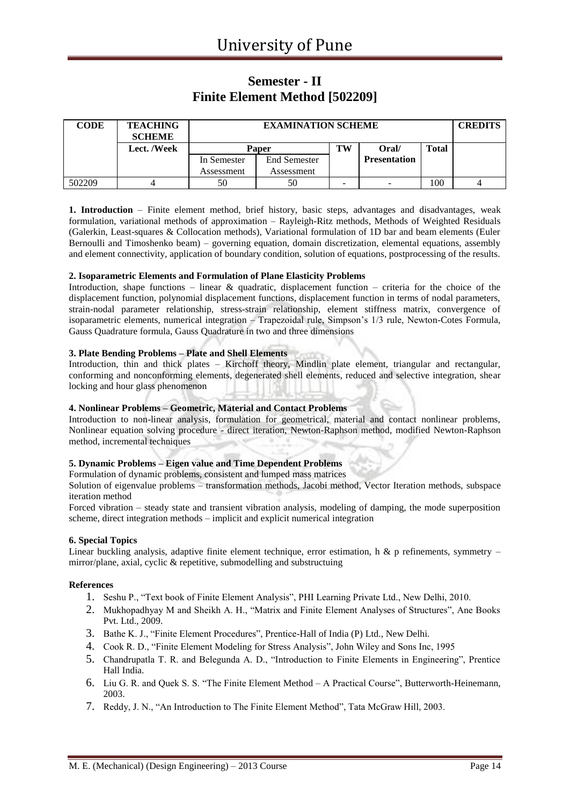### **Semester - II Finite Element Method [502209]**

| <b>CODE</b> | <b>TEACHING</b><br><b>SCHEME</b> |             | <b>EXAMINATION SCHEME</b> |    |                     |              |  |  |
|-------------|----------------------------------|-------------|---------------------------|----|---------------------|--------------|--|--|
|             | Lect. /Week                      |             | Paper                     | TW | Oral/               | <b>Total</b> |  |  |
|             |                                  | In Semester | <b>End Semester</b>       |    | <b>Presentation</b> |              |  |  |
|             |                                  | Assessment  | Assessment                |    |                     |              |  |  |
| 502209      |                                  | 50          | 50                        | -  | -                   | 100          |  |  |

**1. Introduction** – Finite element method, brief history, basic steps, advantages and disadvantages, weak formulation, variational methods of approximation – Rayleigh-Ritz methods, Methods of Weighted Residuals (Galerkin, Least-squares & Collocation methods), Variational formulation of 1D bar and beam elements (Euler Bernoulli and Timoshenko beam) – governing equation, domain discretization, elemental equations, assembly and element connectivity, application of boundary condition, solution of equations, postprocessing of the results.

#### **2. Isoparametric Elements and Formulation of Plane Elasticity Problems**

Introduction, shape functions – linear  $\&$  quadratic, displacement function – criteria for the choice of the displacement function, polynomial displacement functions, displacement function in terms of nodal parameters, strain-nodal parameter relationship, stress-strain relationship, element stiffness matrix, convergence of isoparametric elements, numerical integration – Trapezoidal rule, Simpson's 1/3 rule, Newton-Cotes Formula, Gauss Quadrature formula, Gauss Quadrature in two and three dimensions

#### **3. Plate Bending Problems – Plate and Shell Elements**

Introduction, thin and thick plates – Kirchoff theory, Mindlin plate element, triangular and rectangular, conforming and nonconforming elements, degenerated shell elements, reduced and selective integration, shear locking and hour glass phenomenon

#### **4. Nonlinear Problems – Geometric, Material and Contact Problems**

Introduction to non-linear analysis, formulation for geometrical, material and contact nonlinear problems, Nonlinear equation solving procedure - direct iteration, Newton-Raphson method, modified Newton-Raphson method, incremental techniques

#### **5. Dynamic Problems – Eigen value and Time Dependent Problems**

Formulation of dynamic problems, consistent and lumped mass matrices

Solution of eigenvalue problems – transformation methods, Jacobi method, Vector Iteration methods, subspace iteration method

Forced vibration – steady state and transient vibration analysis, modeling of damping, the mode superposition scheme, direct integration methods – implicit and explicit numerical integration

#### **6. Special Topics**

Linear buckling analysis, adaptive finite element technique, error estimation, h & p refinements, symmetry – mirror/plane, axial, cyclic & repetitive, submodelling and substructuing

#### **References**

- 1. Seshu P., "Text book of Finite Element Analysis", PHI Learning Private Ltd., New Delhi, 2010.
- 2. Mukhopadhyay M and Sheikh A. H., "Matrix and Finite Element Analyses of Structures", Ane Books Pvt. Ltd., 2009.
- 3. Bathe K. J., "Finite Element Procedures", Prentice-Hall of India (P) Ltd., New Delhi.
- 4. Cook R. D., "Finite Element Modeling for Stress Analysis", John Wiley and Sons Inc, 1995
- 5. Chandrupatla T. R. and Belegunda A. D., "Introduction to Finite Elements in Engineering", Prentice Hall India.
- 6. Liu G. R. and Quek S. S. "The Finite Element Method A Practical Course", Butterworth-Heinemann, 2003.
- 7. Reddy, J. N., "An Introduction to The Finite Element Method", Tata McGraw Hill, 2003.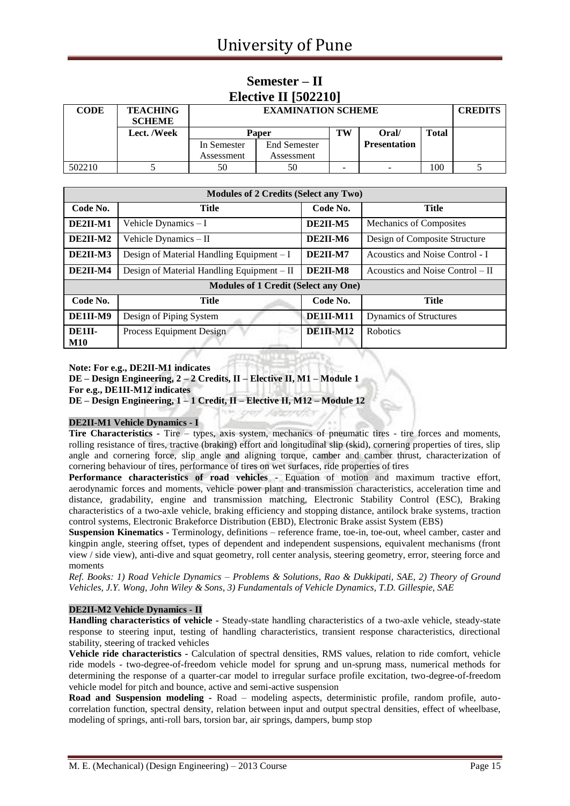### **Semester – II Elective II [502210]**

| <b>CODE</b> | <b>TEACHING</b><br><b>SCHEME</b> |                           | <b>EXAMINATION SCHEME</b>         |    |                     |              |  |
|-------------|----------------------------------|---------------------------|-----------------------------------|----|---------------------|--------------|--|
|             | Lect. /Week                      | <b>Paper</b>              |                                   | TW | Oral/               | <b>Total</b> |  |
|             |                                  | In Semester<br>Assessment | <b>End Semester</b><br>Assessment |    | <b>Presentation</b> |              |  |
| 502210      |                                  | 50                        | 50                                | -  | -                   | 100          |  |

| <b>Modules of 2 Credits (Select any Two)</b> |                                             |                  |                                  |  |  |  |  |  |
|----------------------------------------------|---------------------------------------------|------------------|----------------------------------|--|--|--|--|--|
| Code No.                                     | <b>Title</b>                                | Code No.         | <b>Title</b>                     |  |  |  |  |  |
| DE2II-M1                                     | Vehicle Dynamics $-I$                       | DE2II-M5         | Mechanics of Composites          |  |  |  |  |  |
| $DE2II-M2$                                   | Vehicle Dynamics - II                       | DE2II-M6         | Design of Composite Structure    |  |  |  |  |  |
| DE2II-M3                                     | Design of Material Handling Equipment $-I$  | DE2II-M7         | Acoustics and Noise Control - I  |  |  |  |  |  |
| DE2II-M4                                     | Design of Material Handling Equipment – II  | DE2II-M8         | Acoustics and Noise Control – II |  |  |  |  |  |
|                                              | <b>Modules of 1 Credit (Select any One)</b> |                  |                                  |  |  |  |  |  |
| Code No.                                     | <b>Title</b>                                | Code No.         | <b>Title</b>                     |  |  |  |  |  |
| DE1II-M9                                     | Design of Piping System                     | <b>DE1II-M11</b> | <b>Dynamics of Structures</b>    |  |  |  |  |  |
| DE1II-<br><b>M10</b>                         | Process Equipment Design                    | $DE1II-M12$      | <b>Robotics</b>                  |  |  |  |  |  |

**Note: For e.g., DE2II-M1 indicates**

**DE – Design Engineering, 2 – 2 Credits, II – Elective II, M1 – Module 1**

**For e.g., DE1II-M12 indicates**

**DE – Design Engineering, 1 – 1 Credit, II – Elective II, M12 – Module 12**

#### **DE2II-M1 Vehicle Dynamics - I**

**Tire Characteristics -** Tire – types, axis system, mechanics of pneumatic tires - tire forces and moments, rolling resistance of tires, tractive (braking) effort and longitudinal slip (skid), cornering properties of tires, slip angle and cornering force, slip angle and aligning torque, camber and camber thrust, characterization of cornering behaviour of tires, performance of tires on wet surfaces, ride properties of tires

**Performance characteristics of road vehicles -** Equation of motion and maximum tractive effort, aerodynamic forces and moments, vehicle power plant and transmission characteristics, acceleration time and distance, gradability, engine and transmission matching, Electronic Stability Control (ESC), Braking characteristics of a two-axle vehicle, braking efficiency and stopping distance, antilock brake systems, traction control systems, Electronic Brakeforce Distribution (EBD), Electronic Brake assist System (EBS)

**Suspension Kinematics -** Terminology, definitions – reference frame, toe-in, toe-out, wheel camber, caster and kingpin angle, steering offset, types of dependent and independent suspensions, equivalent mechanisms (front view / side view), anti-dive and squat geometry, roll center analysis, steering geometry, error, steering force and moments

*Ref. Books: 1) Road Vehicle Dynamics – Problems & Solutions, Rao & Dukkipati, SAE, 2) Theory of Ground Vehicles, J.Y. Wong, John Wiley & Sons, 3) Fundamentals of Vehicle Dynamics, T.D. Gillespie, SAE*

#### **DE2II-M2 Vehicle Dynamics - II**

**Handling characteristics of vehicle -** Steady-state handling characteristics of a two-axle vehicle, steady-state response to steering input, testing of handling characteristics, transient response characteristics, directional stability, steering of tracked vehicles

**Vehicle ride characteristics -** Calculation of spectral densities, RMS values, relation to ride comfort, vehicle ride models - two-degree-of-freedom vehicle model for sprung and un-sprung mass, numerical methods for determining the response of a quarter-car model to irregular surface profile excitation, two-degree-of-freedom vehicle model for pitch and bounce, active and semi-active suspension

**Road and Suspension modeling -** Road – modeling aspects, deterministic profile, random profile, autocorrelation function, spectral density, relation between input and output spectral densities, effect of wheelbase, modeling of springs, anti-roll bars, torsion bar, air springs, dampers, bump stop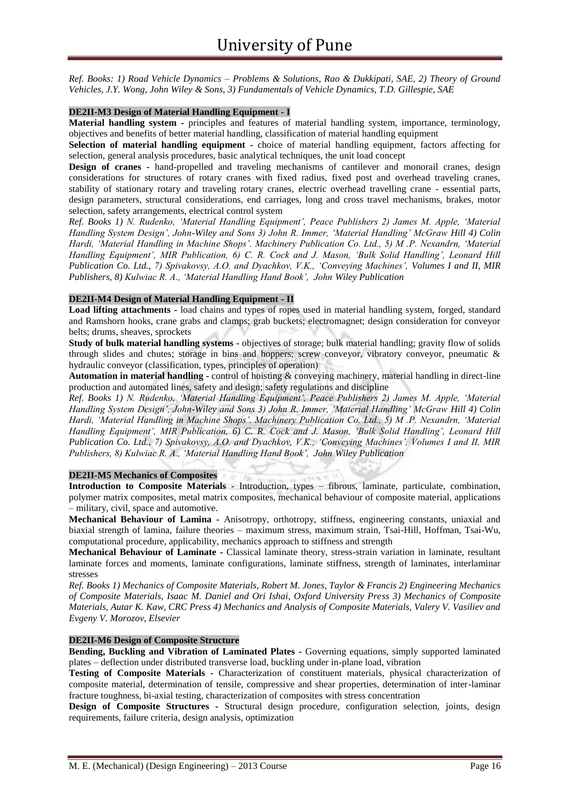*Ref. Books: 1) Road Vehicle Dynamics – Problems & Solutions, Rao & Dukkipati, SAE, 2) Theory of Ground Vehicles, J.Y. Wong, John Wiley & Sons, 3) Fundamentals of Vehicle Dynamics, T.D. Gillespie, SAE*

#### **DE2II-M3 Design of Material Handling Equipment - I**

**Material handling system -** principles and features of material handling system, importance, terminology, objectives and benefits of better material handling, classification of material handling equipment

**Selection of material handling equipment -** choice of material handling equipment, factors affecting for selection, general analysis procedures, basic analytical techniques, the unit load concept

**Design of cranes -** hand-propelled and traveling mechanisms of cantilever and monorail cranes, design considerations for structures of rotary cranes with fixed radius, fixed post and overhead traveling cranes, stability of stationary rotary and traveling rotary cranes, electric overhead travelling crane - essential parts, design parameters, structural considerations, end carriages, long and cross travel mechanisms, brakes, motor selection, safety arrangements, electrical control system

*Ref. Books 1) N. Rudenko, 'Material Handling Equipment', Peace Publishers 2) James M. Apple, 'Material Handling System Design', John-Wiley and Sons 3) John R. Immer, 'Material Handling' McGraw Hill 4) Colin Hardi, 'Material Handling in Machine Shops'. Machinery Publication Co. Ltd., 5) M .P. Nexandrn, 'Material Handling Equipment', MIR Publication, 6) C. R. Cock and J. Mason, 'Bulk Solid Handling', Leonard Hill Publication Co. Ltd., 7) Spivakovsy, A.O. and Dyachkov, V.K., 'Conveying Machines', Volumes I and II, MIR Publishers, 8) Kulwiac R. A., 'Material Handling Hand Book', John Wiley Publication*

#### **DE2II-M4 Design of Material Handling Equipment - II**

**Load lifting attachments -** load chains and types of ropes used in material handling system, forged, standard and Ramshorn hooks, crane grabs and clamps; grab buckets; electromagnet; design consideration for conveyor belts; drums, sheaves, sprockets

**Study of bulk material handling systems -** objectives of storage; bulk material handling; gravity flow of solids through slides and chutes; storage in bins and hoppers; screw conveyor, vibratory conveyor, pneumatic & hydraulic conveyor (classification, types, principles of operation)

**Automation in material handling -** control of hoisting & conveying machinery, material handling in direct-line production and automated lines, safety and design; safety regulations and discipline

*Ref. Books 1) N. Rudenko, 'Material Handling Equipment', Peace Publishers 2) James M. Apple, 'Material Handling System Design', John-Wiley and Sons 3) John R. Immer, 'Material Handling' McGraw Hill 4) Colin Hardi, 'Material Handling in Machine Shops'. Machinery Publication Co. Ltd., 5) M .P. Nexandrn, 'Material Handling Equipment', MIR Publication, 6) C. R. Cock and J. Mason, 'Bulk Solid Handling', Leonard Hill Publication Co. Ltd., 7) Spivakovsy, A.O. and Dyachkov, V.K., 'Conveying Machines', Volumes I and II, MIR Publishers, 8) Kulwiac R. A., 'Material Handling Hand Book', John Wiley Publication*

#### **DE2II-M5 Mechanics of Composites**

**Introduction to Composite Materials -** Introduction, types – fibrous, laminate, particulate, combination, polymer matrix composites, metal matrix composites, mechanical behaviour of composite material, applications – military, civil, space and automotive.

**Mechanical Behaviour of Lamina -** Anisotropy, orthotropy, stiffness, engineering constants, uniaxial and biaxial strength of lamina, failure theories – maximum stress, maximum strain, Tsai-Hill, Hoffman, Tsai-Wu, computational procedure, applicability, mechanics approach to stiffness and strength

**Mechanical Behaviour of Laminate -** Classical laminate theory, stress-strain variation in laminate, resultant laminate forces and moments, laminate configurations, laminate stiffness, strength of laminates, interlaminar stresses

*Ref. Books 1) Mechanics of Composite Materials, Robert M. Jones, Taylor & Francis 2) Engineering Mechanics of Composite Materials, Isaac M. Daniel and Ori Ishai, Oxford University Press 3) Mechanics of Composite Materials, Autar K. Kaw, CRC Press 4) Mechanics and Analysis of Composite Materials, Valery V. Vasiliev and Evgeny V. Morozov, Elsevier*

#### **DE2II-M6 Design of Composite Structure**

**Bending, Buckling and Vibration of Laminated Plates -** Governing equations, simply supported laminated plates – deflection under distributed transverse load, buckling under in-plane load, vibration

**Testing of Composite Materials -** Characterization of constituent materials, physical characterization of composite material, determination of tensile, compressive and shear properties, determination of inter-laminar fracture toughness, bi-axial testing, characterization of composites with stress concentration

**Design of Composite Structures -** Structural design procedure, configuration selection, joints, design requirements, failure criteria, design analysis, optimization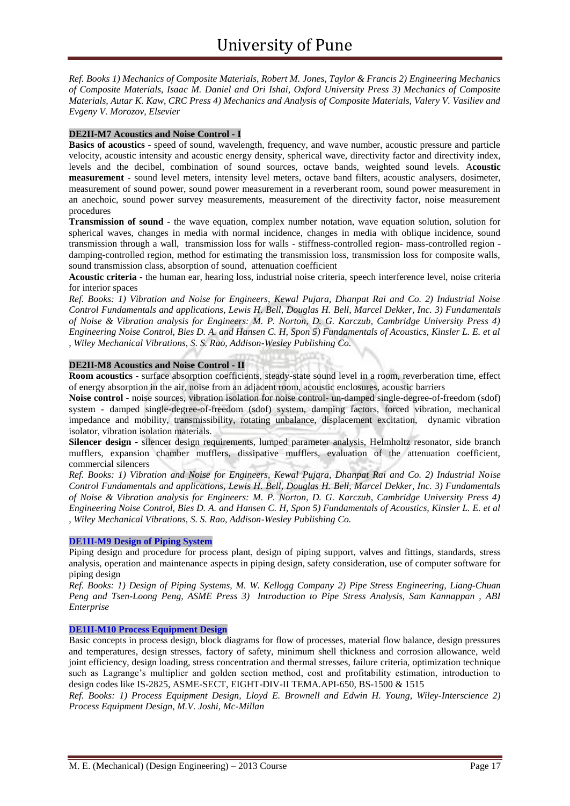*Ref. Books 1) Mechanics of Composite Materials, Robert M. Jones, Taylor & Francis 2) Engineering Mechanics of Composite Materials, Isaac M. Daniel and Ori Ishai, Oxford University Press 3) Mechanics of Composite Materials, Autar K. Kaw, CRC Press 4) Mechanics and Analysis of Composite Materials, Valery V. Vasiliev and Evgeny V. Morozov, Elsevier*

#### **DE2II-M7 Acoustics and Noise Control - I**

**Basics of acoustics -** speed of sound, wavelength, frequency, and wave number, acoustic pressure and particle velocity, acoustic intensity and acoustic energy density, spherical wave, directivity factor and directivity index, levels and the decibel, combination of sound sources, octave bands, weighted sound levels. A**coustic measurement -** sound level meters, intensity level meters, octave band filters, acoustic analysers, dosimeter, measurement of sound power, sound power measurement in a reverberant room, sound power measurement in an anechoic, sound power survey measurements, measurement of the directivity factor, noise measurement procedures

**Transmission of sound -** the wave equation, complex number notation, wave equation solution, solution for spherical waves, changes in media with normal incidence, changes in media with oblique incidence, sound transmission through a wall, transmission loss for walls - stiffness-controlled region- mass-controlled region damping-controlled region, method for estimating the transmission loss, transmission loss for composite walls, sound transmission class, absorption of sound, attenuation coefficient

**Acoustic criteria -** the human ear, hearing loss, industrial noise criteria, speech interference level, noise criteria for interior spaces

*Ref. Books: 1) Vibration and Noise for Engineers, Kewal Pujara, Dhanpat Rai and Co. 2) Industrial Noise Control Fundamentals and applications, Lewis H. Bell, Douglas H. Bell, Marcel Dekker, Inc. 3) Fundamentals of Noise & Vibration analysis for Engineers: M. P. Norton, D. G. Karczub, Cambridge University Press 4) Engineering Noise Control, Bies D. A. and Hansen C. H, Spon 5) Fundamentals of Acoustics, Kinsler L. E. et al , Wiley Mechanical Vibrations, S. S. Rao, Addison-Wesley Publishing Co.*

#### **DE2II-M8 Acoustics and Noise Control - II**

**Room acoustics -** surface absorption coefficients, steady-state sound level in a room, reverberation time, effect of energy absorption in the air, noise from an adjacent room, acoustic enclosures, acoustic barriers

**Noise control -** noise sources, vibration isolation for noise control- un-damped single-degree-of-freedom (sdof) system - damped single-degree-of-freedom (sdof) system, damping factors, forced vibration, mechanical impedance and mobility, transmissibility, rotating unbalance, displacement excitation, dynamic vibration isolator, vibration isolation materials.

**Silencer design -** silencer design requirements, lumped parameter analysis, Helmholtz resonator, side branch mufflers, expansion chamber mufflers, dissipative mufflers, evaluation of the attenuation coefficient, commercial silencers

*Ref. Books: 1) Vibration and Noise for Engineers, Kewal Pujara, Dhanpat Rai and Co. 2) Industrial Noise Control Fundamentals and applications, Lewis H. Bell, Douglas H. Bell, Marcel Dekker, Inc. 3) Fundamentals of Noise & Vibration analysis for Engineers: M. P. Norton, D. G. Karczub, Cambridge University Press 4) Engineering Noise Control, Bies D. A. and Hansen C. H, Spon 5) Fundamentals of Acoustics, Kinsler L. E. et al , Wiley Mechanical Vibrations, S. S. Rao, Addison-Wesley Publishing Co.*

#### **DE1II-M9 Design of Piping System**

Piping design and procedure for process plant, design of piping support, valves and fittings, standards, stress analysis, operation and maintenance aspects in piping design, safety consideration, use of computer software for piping design

*Ref. Books: 1) Design of Piping Systems, M. W. Kellogg Company 2) Pipe Stress Engineering, Liang-Chuan Peng and Tsen-Loong Peng, ASME Press 3) Introduction to Pipe Stress Analysis, Sam Kannappan , ABI Enterprise*

#### **DE1II-M10 Process Equipment Design**

Basic concepts in process design, block diagrams for flow of processes, material flow balance, design pressures and temperatures, design stresses, factory of safety, minimum shell thickness and corrosion allowance, weld joint efficiency, design loading, stress concentration and thermal stresses, failure criteria, optimization technique such as Lagrange's multiplier and golden section method, cost and profitability estimation, introduction to design codes like IS-2825, ASME-SECT, EIGHT-DIV-II TEMA.API-650, BS-1500 & 1515

*Ref. Books: 1) Process Equipment Design, Lloyd E. Brownell and Edwin H. Young, Wiley-Interscience 2) Process Equipment Design, M.V. Joshi, Mc-Millan*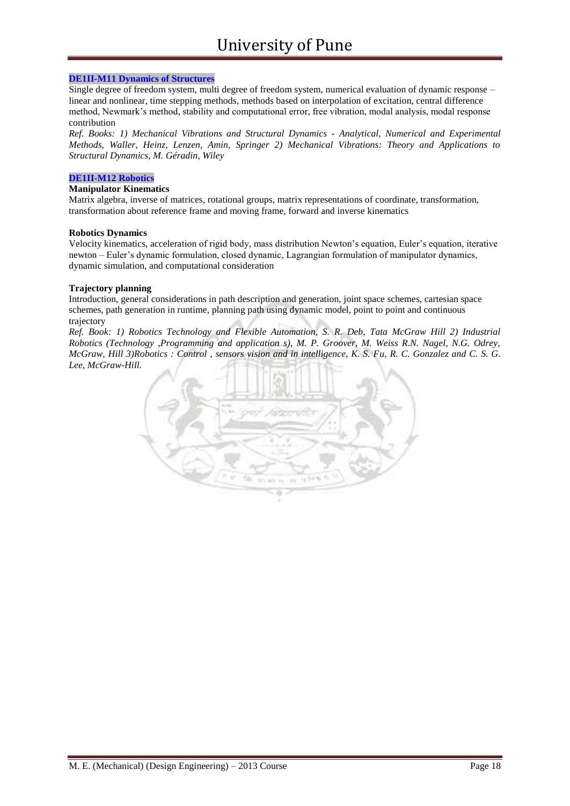#### **DE1II-M11 Dynamics of Structures**

Single degree of freedom system, multi degree of freedom system, numerical evaluation of dynamic response – linear and nonlinear, time stepping methods, methods based on interpolation of excitation, central difference method, Newmark's method, stability and computational error, free vibration, modal analysis, modal response contribution

*Ref. Books: 1) Mechanical Vibrations and Structural Dynamics - Analytical, Numerical and Experimental Methods, Waller, Heinz, Lenzen, Amin, Springer 2) Mechanical Vibrations: Theory and Applications to Structural Dynamics, M. Géradin, Wiley*

#### **DE1II-M12 Robotics**

#### **Manipulator Kinematics**

Matrix algebra, inverse of matrices, rotational groups, matrix representations of coordinate, transformation, transformation about reference frame and moving frame, forward and inverse kinematics

#### **Robotics Dynamics**

Velocity kinematics, acceleration of rigid body, mass distribution Newton's equation, Euler's equation, iterative newton – Euler's dynamic formulation, closed dynamic, Lagrangian formulation of manipulator dynamics, dynamic simulation, and computational consideration

#### **Trajectory planning**

Introduction, general considerations in path description and generation, joint space schemes, cartesian space schemes, path generation in runtime, planning path using dynamic model, point to point and continuous trajectory

*Ref. Book: 1) Robotics Technology and Flexible Automation, S. R. Deb, Tata McGraw Hill 2) Industrial Robotics (Technology ,Programming and application s), M. P. Groover, M. Weiss R.N. Nagel, N.G. Odrey, McGraw, Hill 3)Robotics : Control , sensors vision and in intelligence, K. S. Fu, R. C. Gonzalez and C. S. G. Lee, McGraw-Hill.*

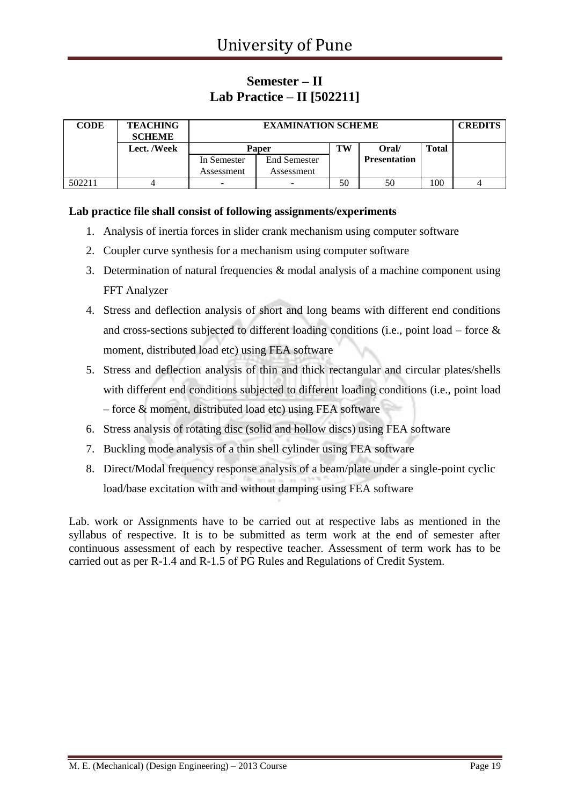### **Semester – II Lab Practice – II [502211]**

| <b>CODE</b> | <b>TEACHING</b><br><b>SCHEME</b> |             | <b>EXAMINATION SCHEME</b> |    |                     |              |  |  |
|-------------|----------------------------------|-------------|---------------------------|----|---------------------|--------------|--|--|
|             | Lect. /Week                      |             | Paper                     | TW | Oral/               | <b>Total</b> |  |  |
|             |                                  | In Semester | <b>End Semester</b>       |    | <b>Presentation</b> |              |  |  |
|             |                                  | Assessment  | Assessment                |    |                     |              |  |  |
| 502211      |                                  |             |                           | 50 | 50                  | 100          |  |  |

#### **Lab practice file shall consist of following assignments/experiments**

- 1. Analysis of inertia forces in slider crank mechanism using computer software
- 2. Coupler curve synthesis for a mechanism using computer software
- 3. Determination of natural frequencies & modal analysis of a machine component using FFT Analyzer
- 4. Stress and deflection analysis of short and long beams with different end conditions and cross-sections subjected to different loading conditions (i.e., point load – force & moment, distributed load etc) using FEA software
- 5. Stress and deflection analysis of thin and thick rectangular and circular plates/shells with different end conditions subjected to different loading conditions (i.e., point load – force & moment, distributed load etc) using FEA software
- 6. Stress analysis of rotating disc (solid and hollow discs) using FEA software
- 7. Buckling mode analysis of a thin shell cylinder using FEA software
- 8. Direct/Modal frequency response analysis of a beam/plate under a single-point cyclic load/base excitation with and without damping using FEA software

Lab. work or Assignments have to be carried out at respective labs as mentioned in the syllabus of respective. It is to be submitted as term work at the end of semester after continuous assessment of each by respective teacher. Assessment of term work has to be carried out as per R-1.4 and R-1.5 of PG Rules and Regulations of Credit System.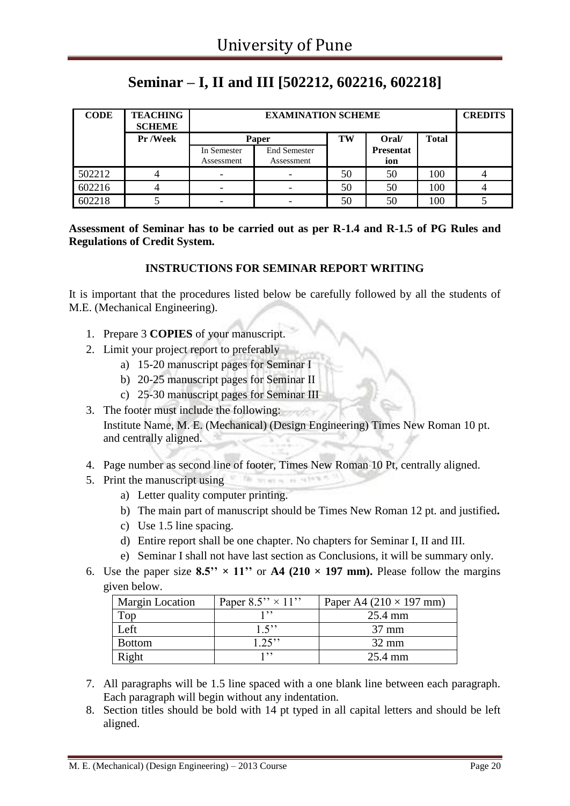## **Seminar – I, II and III [502212, 602216, 602218]**

| <b>CODE</b> | <b>TEACHING</b><br><b>SCHEME</b> |                                      | <b>EXAMINATION SCHEME</b>         |    |                         |     |  |  |  |
|-------------|----------------------------------|--------------------------------------|-----------------------------------|----|-------------------------|-----|--|--|--|
|             | Pr /Week                         | TW<br>Oral/<br><b>Total</b><br>Paper |                                   |    |                         |     |  |  |  |
|             |                                  | In Semester<br>Assessment            | <b>End Semester</b><br>Assessment |    | <b>Presentat</b><br>ion |     |  |  |  |
| 502212      |                                  | $\overline{\phantom{0}}$             |                                   | 50 | 50                      | 100 |  |  |  |
| 602216      |                                  |                                      |                                   | 50 | 50                      | 100 |  |  |  |
| 602218      |                                  | -                                    |                                   | 50 | 50                      | 100 |  |  |  |

#### **Assessment of Seminar has to be carried out as per R-1.4 and R-1.5 of PG Rules and Regulations of Credit System.**

#### **INSTRUCTIONS FOR SEMINAR REPORT WRITING**

It is important that the procedures listed below be carefully followed by all the students of M.E. (Mechanical Engineering).

- 1. Prepare 3 **COPIES** of your manuscript.
- 2. Limit your project report to preferably
	- a) 15-20 manuscript pages for Seminar I
	- b) 20-25 manuscript pages for Seminar II
	- c) 25-30 manuscript pages for Seminar III
- 3. The footer must include the following: Institute Name, M. E. (Mechanical) (Design Engineering) Times New Roman 10 pt. and centrally aligned.
- 4. Page number as second line of footer, Times New Roman 10 Pt, centrally aligned.

file arcan is in re-

- 5. Print the manuscript using
	- a) Letter quality computer printing.
	- b) The main part of manuscript should be Times New Roman 12 pt. and justified**.**
	- c) Use 1.5 line spacing.
	- d) Entire report shall be one chapter. No chapters for Seminar I, II and III.
	- e) Seminar I shall not have last section as Conclusions, it will be summary only.
- 6. Use the paper size  $8.5'' \times 11''$  or  $A4$  (210  $\times$  197 mm). Please follow the margins given below.

| <b>Margin Location</b> | Paper $8.5'' \times 11''$ | Paper A4 $(210 \times 197$ mm) |
|------------------------|---------------------------|--------------------------------|
| $1^{\circ}$            |                           | 25.4 mm                        |
| Left                   | 15                        | $37 \text{ mm}$                |
| <b>Bottom</b>          | $1.25$ "                  | $32 \text{ mm}$                |
| Right                  | 1, 99                     | $25.4 \text{ mm}$              |

- 7. All paragraphs will be 1.5 line spaced with a one blank line between each paragraph. Each paragraph will begin without any indentation.
- 8. Section titles should be bold with 14 pt typed in all capital letters and should be left aligned.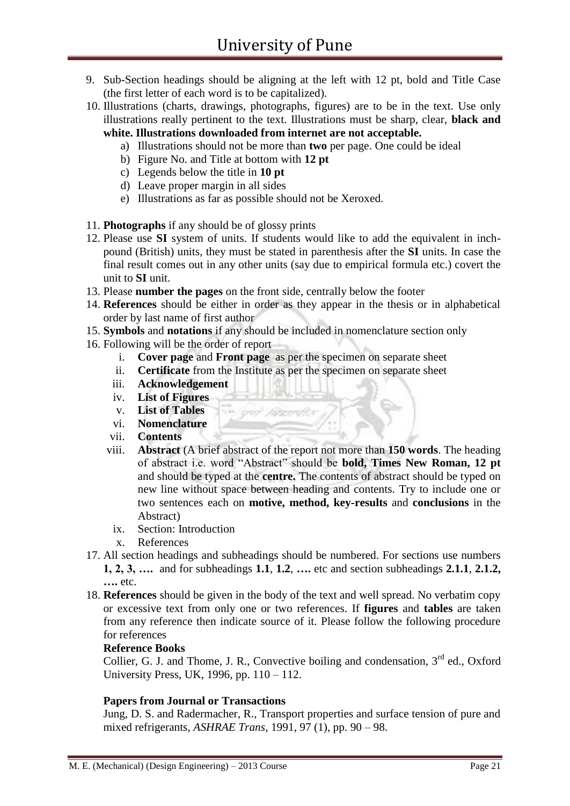- 9. Sub-Section headings should be aligning at the left with 12 pt, bold and Title Case (the first letter of each word is to be capitalized).
- 10. Illustrations (charts, drawings, photographs, figures) are to be in the text. Use only illustrations really pertinent to the text. Illustrations must be sharp, clear, **black and white. Illustrations downloaded from internet are not acceptable.** 
	- a) Illustrations should not be more than **two** per page. One could be ideal
	- b) Figure No. and Title at bottom with **12 pt**
	- c) Legends below the title in **10 pt**
	- d) Leave proper margin in all sides
	- e) Illustrations as far as possible should not be Xeroxed.
- 11. **Photographs** if any should be of glossy prints
- 12. Please use **SI** system of units. If students would like to add the equivalent in inchpound (British) units, they must be stated in parenthesis after the **SI** units. In case the final result comes out in any other units (say due to empirical formula etc.) covert the unit to **SI** unit.
- 13. Please **number the pages** on the front side, centrally below the footer
- 14. **References** should be either in order as they appear in the thesis or in alphabetical order by last name of first author
- 15. **Symbols** and **notations** if any should be included in nomenclature section only
- 16. Following will be the order of report
	- i. **Cover page** and **Front page** as per the specimen on separate sheet
	- ii. **Certificate** from the Institute as per the specimen on separate sheet
	- iii. **Acknowledgement**

Former)

- iv. **List of Figures**
- v. **List of Tables**
- vi. **Nomenclature**
- vii. **Contents**
- viii. **Abstract** (A brief abstract of the report not more than **150 words**. The heading of abstract i.e. word "Abstract" should be **bold, Times New Roman, 12 pt** and should be typed at the **centre.** The contents of abstract should be typed on new line without space between heading and contents. Try to include one or two sentences each on **motive, method, key-results** and **conclusions** in the Abstract)
	- ix. Section: Introduction
	- x. References
- 17. All section headings and subheadings should be numbered. For sections use numbers **1, 2, 3, ….** and for subheadings **1.1**, **1.2**, **….** etc and section subheadings **2.1.1**, **2.1.2, ….** etc.
- 18. **References** should be given in the body of the text and well spread. No verbatim copy or excessive text from only one or two references. If **figures** and **tables** are taken from any reference then indicate source of it. Please follow the following procedure for references

#### **Reference Books**

Collier, G. J. and Thome, J. R., Convective boiling and condensation, 3<sup>rd</sup> ed., Oxford University Press, UK, 1996, pp. 110 – 112.

#### **Papers from Journal or Transactions**

Jung, D. S. and Radermacher, R., Transport properties and surface tension of pure and mixed refrigerants, *ASHRAE Trans*, 1991, 97 (1), pp. 90 – 98.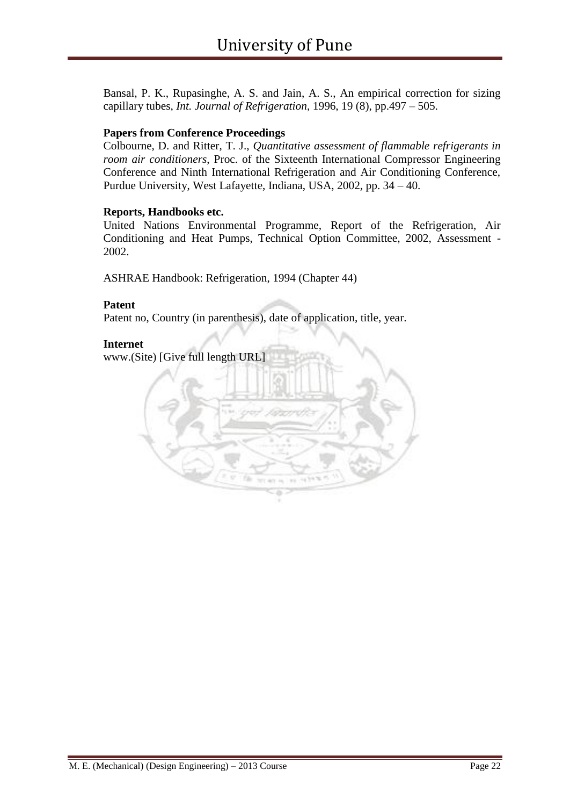Bansal, P. K., Rupasinghe, A. S. and Jain, A. S., An empirical correction for sizing capillary tubes, *Int. Journal of Refrigeration*, 1996, 19 (8), pp.497 – 505.

#### **Papers from Conference Proceedings**

Colbourne, D. and Ritter, T. J., *Quantitative assessment of flammable refrigerants in room air conditioners*, Proc. of the Sixteenth International Compressor Engineering Conference and Ninth International Refrigeration and Air Conditioning Conference, Purdue University, West Lafayette, Indiana, USA, 2002, pp. 34 – 40.

#### **Reports, Handbooks etc.**

United Nations Environmental Programme, Report of the Refrigeration, Air Conditioning and Heat Pumps, Technical Option Committee, 2002, Assessment - 2002.

ASHRAE Handbook: Refrigeration, 1994 (Chapter 44)

#### **Patent**

Patent no, Country (in parenthesis), date of application, title, year.

#### **Internet**

www.(Site) [Give full length URL]

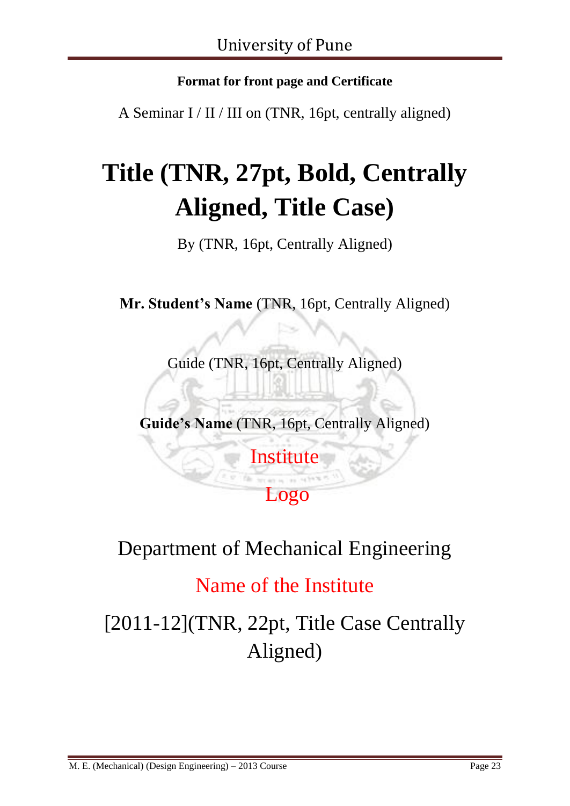## **Format for front page and Certificate**

A Seminar I / II / III on (TNR, 16pt, centrally aligned)

# **Title (TNR, 27pt, Bold, Centrally Aligned, Title Case)**

By (TNR, 16pt, Centrally Aligned)

**Mr. Student's Name** (TNR, 16pt, Centrally Aligned)

Guide (TNR, 16pt, Centrally Aligned)

**Guide's Name** (TNR, 16pt, Centrally Aligned)

**Institute** 

Logo

# Department of Mechanical Engineering

# Name of the Institute

[2011-12](TNR, 22pt, Title Case Centrally Aligned)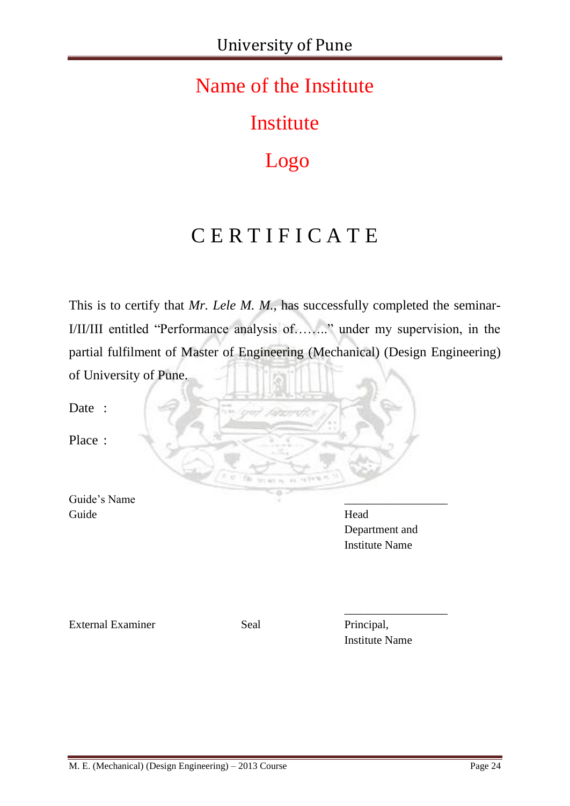# Name of the Institute

**Institute** 

# Logo

# C E R T I F I C A T E

This is to certify that *Mr. Lele M. M.*, has successfully completed the seminar-I/II/III entitled "Performance analysis of…….." under my supervision, in the partial fulfilment of Master of Engineering (Mechanical) (Design Engineering) of University of Pune.

Date :

Place :

Guide's Name Guide Head

Department and Institute Name

External Examiner Seal Principal,

Institute Name

\_\_\_\_\_\_\_\_\_\_\_\_\_\_\_\_\_\_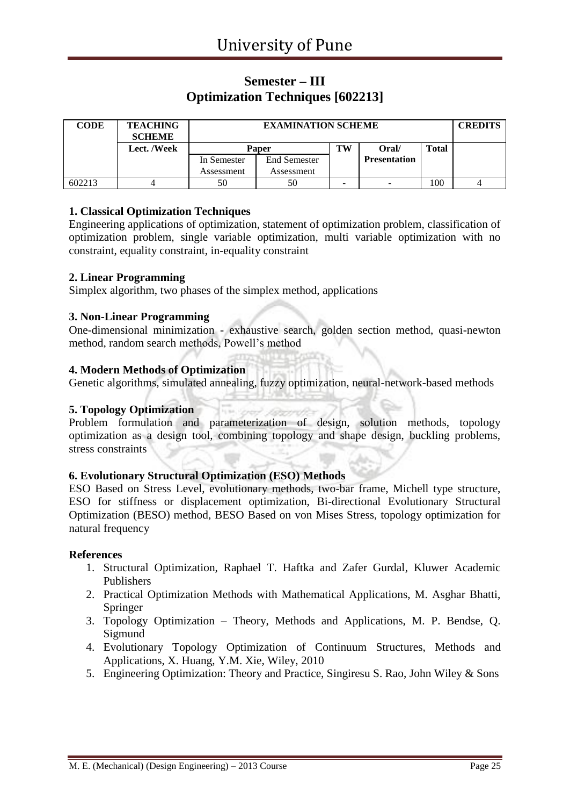### **Semester – III Optimization Techniques [602213]**

| <b>CODE</b> | <b>TEACHING</b><br><b>SCHEME</b> |              | <b>CREDITS</b>      |    |                     |              |  |
|-------------|----------------------------------|--------------|---------------------|----|---------------------|--------------|--|
|             | Lect. /Week                      | <b>Paper</b> |                     | TW | Oral/               | <b>Total</b> |  |
|             |                                  | In Semester  | <b>End Semester</b> |    | <b>Presentation</b> |              |  |
|             |                                  | Assessment   | Assessment          |    |                     |              |  |
| 602213      |                                  | 50           | 50                  | -  | -                   | 100          |  |

#### **1. Classical Optimization Techniques**

Engineering applications of optimization, statement of optimization problem, classification of optimization problem, single variable optimization, multi variable optimization with no constraint, equality constraint, in-equality constraint

#### **2. Linear Programming**

Simplex algorithm, two phases of the simplex method, applications

#### **3. Non-Linear Programming**

One-dimensional minimization - exhaustive search, golden section method, quasi-newton method, random search methods, Powell's method

#### **4. Modern Methods of Optimization**

Genetic algorithms, simulated annealing, fuzzy optimization, neural-network-based methods

#### **5. Topology Optimization**

Problem formulation and parameterization of design, solution methods, topology optimization as a design tool, combining topology and shape design, buckling problems, stress constraints

#### **6. Evolutionary Structural Optimization (ESO) Methods**

ESO Based on Stress Level, evolutionary methods, two-bar frame, Michell type structure, ESO for stiffness or displacement optimization, Bi-directional Evolutionary Structural Optimization (BESO) method, BESO Based on von Mises Stress, topology optimization for natural frequency

#### **References**

- 1. Structural Optimization, Raphael T. Haftka and Zafer Gurdal, Kluwer Academic Publishers
- 2. Practical Optimization Methods with Mathematical Applications, M. Asghar Bhatti, Springer
- 3. Topology Optimization Theory, Methods and Applications, M. P. Bendse, Q. Sigmund
- 4. Evolutionary Topology Optimization of Continuum Structures, Methods and Applications, X. Huang, Y.M. Xie, Wiley, 2010
- 5. Engineering Optimization: Theory and Practice, Singiresu S. Rao, John Wiley & Sons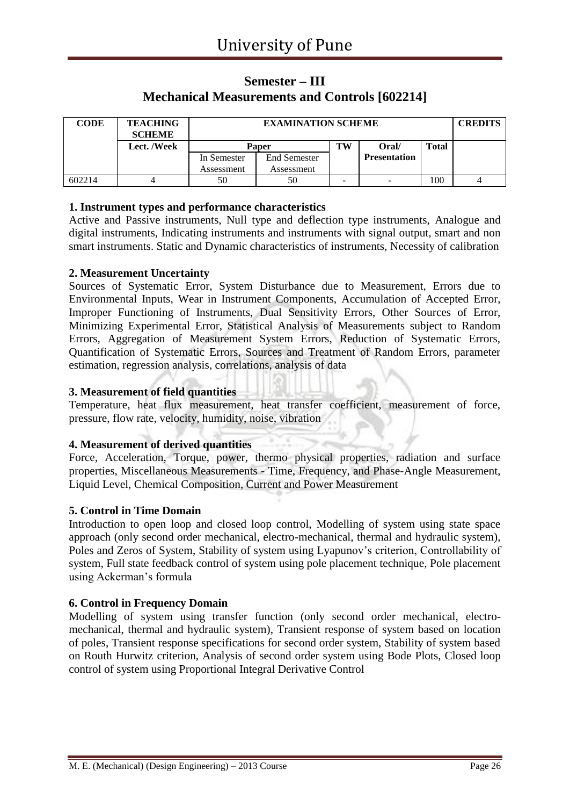### **Semester – III Mechanical Measurements and Controls [602214]**

| <b>CODE</b> | <b>TEACHING</b><br><b>SCHEME</b> |              | <b>EXAMINATION SCHEME</b> |    |                     |              |  |  |
|-------------|----------------------------------|--------------|---------------------------|----|---------------------|--------------|--|--|
|             | Lect. /Week                      | <b>Paper</b> |                           | TW | Oral/               | <b>Total</b> |  |  |
|             |                                  | In Semester  | <b>End Semester</b>       |    | <b>Presentation</b> |              |  |  |
|             |                                  | Assessment   | Assessment                |    |                     |              |  |  |
| 602214      |                                  | 50           | 50                        | -  | -                   | 100          |  |  |

#### **1. Instrument types and performance characteristics**

Active and Passive instruments, Null type and deflection type instruments, Analogue and digital instruments, Indicating instruments and instruments with signal output, smart and non smart instruments. Static and Dynamic characteristics of instruments, Necessity of calibration

#### **2. Measurement Uncertainty**

Sources of Systematic Error, System Disturbance due to Measurement, Errors due to Environmental Inputs, Wear in Instrument Components, Accumulation of Accepted Error, Improper Functioning of Instruments, Dual Sensitivity Errors, Other Sources of Error, Minimizing Experimental Error, Statistical Analysis of Measurements subject to Random Errors, Aggregation of Measurement System Errors, Reduction of Systematic Errors, Quantification of Systematic Errors, Sources and Treatment of Random Errors, parameter estimation, regression analysis, correlations, analysis of data

#### **3. Measurement of field quantities**

Temperature, heat flux measurement, heat transfer coefficient, measurement of force, pressure, flow rate, velocity, humidity, noise, vibration

#### **4. Measurement of derived quantities**

Force, Acceleration, Torque, power, thermo physical properties, radiation and surface properties, Miscellaneous Measurements - Time, Frequency, and Phase-Angle Measurement, Liquid Level, Chemical Composition, Current and Power Measurement

#### **5. Control in Time Domain**

Introduction to open loop and closed loop control, Modelling of system using state space approach (only second order mechanical, electro-mechanical, thermal and hydraulic system), Poles and Zeros of System, Stability of system using Lyapunov's criterion, Controllability of system, Full state feedback control of system using pole placement technique, Pole placement using Ackerman's formula

#### **6. Control in Frequency Domain**

Modelling of system using transfer function (only second order mechanical, electromechanical, thermal and hydraulic system), Transient response of system based on location of poles, Transient response specifications for second order system, Stability of system based on Routh Hurwitz criterion, Analysis of second order system using Bode Plots, Closed loop control of system using Proportional Integral Derivative Control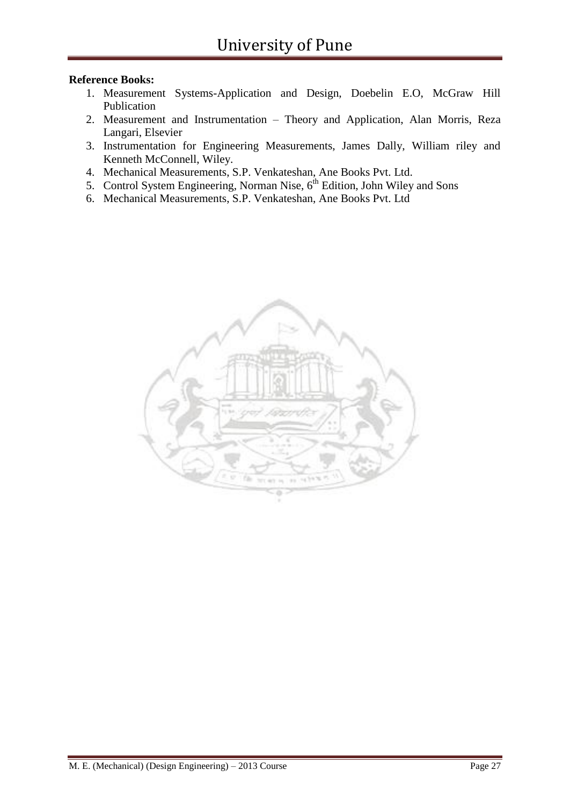#### **Reference Books:**

- 1. Measurement Systems-Application and Design, Doebelin E.O, McGraw Hill Publication
- 2. Measurement and Instrumentation Theory and Application, Alan Morris, Reza Langari, Elsevier
- 3. Instrumentation for Engineering Measurements, James Dally, William riley and Kenneth McConnell, Wiley.
- 4. Mechanical Measurements, S.P. Venkateshan, Ane Books Pvt. Ltd.
- 5. Control System Engineering, Norman Nise,  $6<sup>th</sup>$  Edition, John Wiley and Sons
- 6. Mechanical Measurements, S.P. Venkateshan, Ane Books Pvt. Ltd

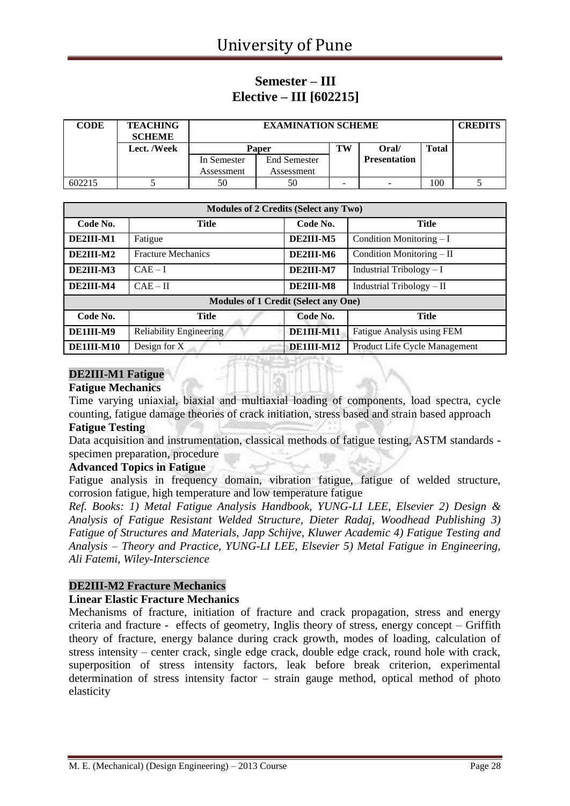### **Semester – III Elective – III [602215]**

| <b>CODE</b> | <b>TEACHING</b><br><b>SCHEME</b> |              | <b>CREDITS</b> |    |                     |              |  |
|-------------|----------------------------------|--------------|----------------|----|---------------------|--------------|--|
|             | Lect. /Week                      | <b>Paper</b> |                | TW | Oral/               | <b>Total</b> |  |
|             |                                  | In Semester  | End Semester   |    | <b>Presentation</b> |              |  |
|             |                                  | Assessment   | Assessment     |    |                     |              |  |
| 602215      |                                  | 50           | 50             | -  | -                   | 100          |  |

| <b>Modules of 2 Credits (Select any Two)</b> |                                             |            |                               |  |  |  |  |
|----------------------------------------------|---------------------------------------------|------------|-------------------------------|--|--|--|--|
| Code No.                                     | Title                                       | Code No.   | <b>Title</b>                  |  |  |  |  |
| DE2III-M1                                    | Fatigue                                     | DE2III-M5  | Condition Monitoring $-I$     |  |  |  |  |
| DE2III-M2                                    | <b>Fracture Mechanics</b>                   | DE2III-M6  | Condition Monitoring $-$ II   |  |  |  |  |
| DE2III-M3                                    | $CAE-I$                                     | DE2III-M7  | Industrial Tribology $-I$     |  |  |  |  |
| DE2III-M4                                    | $CAE - II$                                  | DE2III-M8  | Industrial Tribology $-$ II   |  |  |  |  |
|                                              | <b>Modules of 1 Credit (Select any One)</b> |            |                               |  |  |  |  |
| Code No.                                     | <b>Title</b>                                | Code No.   | <b>Title</b>                  |  |  |  |  |
| DE1III-M9                                    | <b>Reliability Engineering</b>              | DE1III-M11 | Fatigue Analysis using FEM    |  |  |  |  |
| DE1III-M10                                   | Design for X                                | DE1III-M12 | Product Life Cycle Management |  |  |  |  |

### **DE2III-M1 Fatigue**

#### **Fatigue Mechanics**

Time varying uniaxial, biaxial and multiaxial loading of components, load spectra, cycle counting, fatigue damage theories of crack initiation, stress based and strain based approach

#### **Fatigue Testing**

Data acquisition and instrumentation, classical methods of fatigue testing, ASTM standards specimen preparation, procedure

#### **Advanced Topics in Fatigue**

Fatigue analysis in frequency domain, vibration fatigue, fatigue of welded structure, corrosion fatigue, high temperature and low temperature fatigue

*Ref. Books: 1) Metal Fatigue Analysis Handbook, YUNG-LI LEE, Elsevier 2) Design & Analysis of Fatigue Resistant Welded Structure, Dieter Radaj, Woodhead Publishing 3) Fatigue of Structures and Materials, Japp Schijve, Kluwer Academic 4) Fatigue Testing and Analysis – Theory and Practice, YUNG-LI LEE, Elsevier 5) Metal Fatigue in Engineering, Ali Fatemi, Wiley-Interscience*

#### **DE2III-M2 Fracture Mechanics**

#### **Linear Elastic Fracture Mechanics**

Mechanisms of fracture, initiation of fracture and crack propagation, stress and energy criteria and fracture - effects of geometry, Inglis theory of stress, energy concept – Griffith theory of fracture, energy balance during crack growth, modes of loading, calculation of stress intensity – center crack, single edge crack, double edge crack, round hole with crack, superposition of stress intensity factors, leak before break criterion, experimental determination of stress intensity factor – strain gauge method, optical method of photo elasticity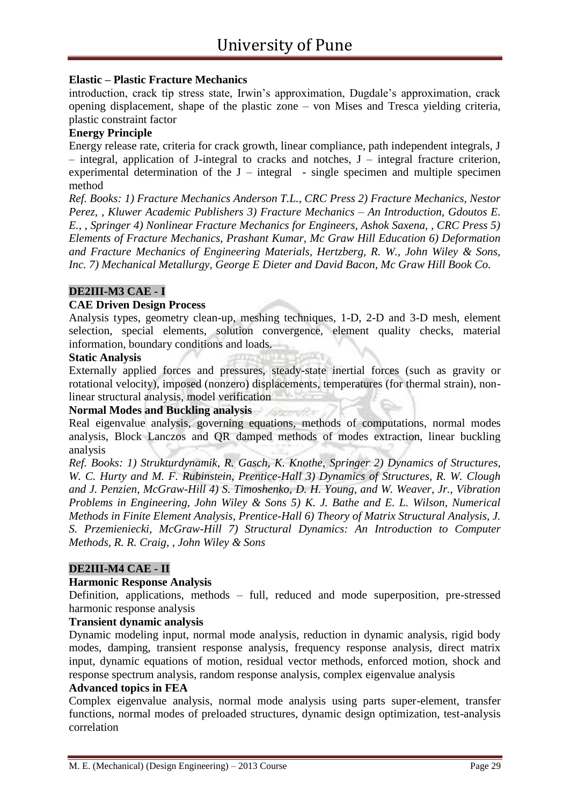#### **Elastic – Plastic Fracture Mechanics**

introduction, crack tip stress state, Irwin's approximation, Dugdale's approximation, crack opening displacement, shape of the plastic zone – von Mises and Tresca yielding criteria, plastic constraint factor

#### **Energy Principle**

Energy release rate, criteria for crack growth, linear compliance, path independent integrals, J – integral, application of J-integral to cracks and notches, J – integral fracture criterion, experimental determination of the  $J$  – integral – single specimen and multiple specimen method

*Ref. Books: 1) Fracture Mechanics Anderson T.L., CRC Press 2) Fracture Mechanics, Nestor Perez, , Kluwer Academic Publishers 3) Fracture Mechanics – An Introduction, Gdoutos E. E., , Springer 4) Nonlinear Fracture Mechanics for Engineers, Ashok Saxena, , CRC Press 5) Elements of Fracture Mechanics, Prashant Kumar, Mc Graw Hill Education 6) Deformation and Fracture Mechanics of Engineering Materials, Hertzberg, R. W., John Wiley & Sons, Inc. 7) Mechanical Metallurgy, George E Dieter and David Bacon, Mc Graw Hill Book Co.*

#### **DE2III-M3 CAE - I**

#### **CAE Driven Design Process**

Analysis types, geometry clean-up, meshing techniques, 1-D, 2-D and 3-D mesh, element selection, special elements, solution convergence, element quality checks, material information, boundary conditions and loads.

#### **Static Analysis**

Externally applied forces and pressures, steady-state inertial forces (such as gravity or rotational velocity), imposed (nonzero) displacements, temperatures (for thermal strain), nonlinear structural analysis, model verification

#### **Normal Modes and Buckling analysis**

Real eigenvalue analysis, governing equations, methods of computations, normal modes analysis, Block Lanczos and QR damped methods of modes extraction, linear buckling analysis

*Ref. Books: 1) Strukturdynamik, R. Gasch, K. Knothe, Springer 2) Dynamics of Structures, W. C. Hurty and M. F. Rubinstein, Prentice-Hall 3) Dynamics of Structures, R. W. Clough and J. Penzien, McGraw-Hill 4) S. Timoshenko, D. H. Young, and W. Weaver, Jr., Vibration Problems in Engineering, John Wiley & Sons 5) K. J. Bathe and E. L. Wilson, Numerical Methods in Finite Element Analysis, Prentice-Hall 6) Theory of Matrix Structural Analysis, J. S. Przemieniecki, McGraw-Hill 7) Structural Dynamics: An Introduction to Computer Methods, R. R. Craig, , John Wiley & Sons*

#### **DE2III-M4 CAE - II**

#### **Harmonic Response Analysis**

Definition, applications, methods – full, reduced and mode superposition, pre-stressed harmonic response analysis

#### **Transient dynamic analysis**

Dynamic modeling input, normal mode analysis, reduction in dynamic analysis, rigid body modes, damping, transient response analysis, frequency response analysis, direct matrix input, dynamic equations of motion, residual vector methods, enforced motion, shock and response spectrum analysis, random response analysis, complex eigenvalue analysis

#### **Advanced topics in FEA**

Complex eigenvalue analysis, normal mode analysis using parts super-element, transfer functions, normal modes of preloaded structures, dynamic design optimization, test-analysis correlation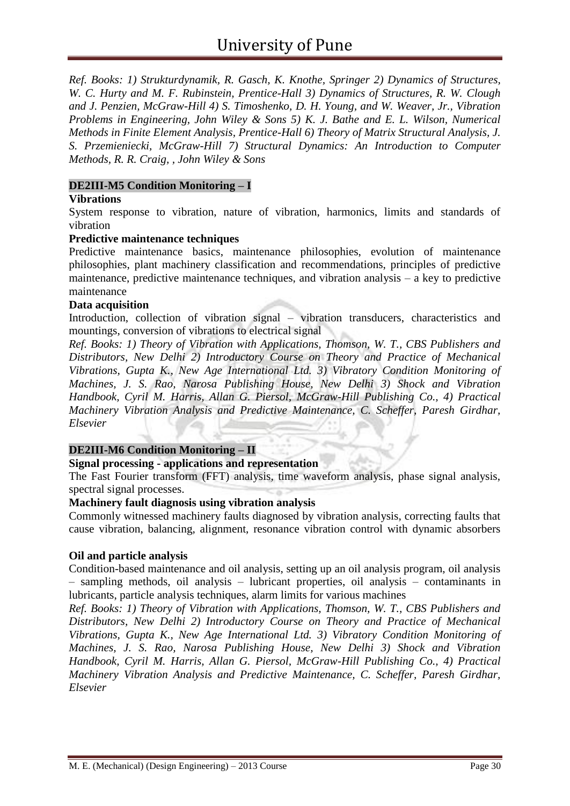*Ref. Books: 1) Strukturdynamik, R. Gasch, K. Knothe, Springer 2) Dynamics of Structures, W. C. Hurty and M. F. Rubinstein, Prentice-Hall 3) Dynamics of Structures, R. W. Clough and J. Penzien, McGraw-Hill 4) S. Timoshenko, D. H. Young, and W. Weaver, Jr., Vibration Problems in Engineering, John Wiley & Sons 5) K. J. Bathe and E. L. Wilson, Numerical Methods in Finite Element Analysis, Prentice-Hall 6) Theory of Matrix Structural Analysis, J. S. Przemieniecki, McGraw-Hill 7) Structural Dynamics: An Introduction to Computer Methods, R. R. Craig, , John Wiley & Sons*

#### **DE2III-M5 Condition Monitoring – I**

#### **Vibrations**

System response to vibration, nature of vibration, harmonics, limits and standards of vibration

#### **Predictive maintenance techniques**

Predictive maintenance basics, maintenance philosophies, evolution of maintenance philosophies, plant machinery classification and recommendations, principles of predictive maintenance, predictive maintenance techniques, and vibration analysis – a key to predictive maintenance

#### **Data acquisition**

Introduction, collection of vibration signal – vibration transducers, characteristics and mountings, conversion of vibrations to electrical signal

*Ref. Books: 1) Theory of Vibration with Applications, Thomson, W. T., CBS Publishers and Distributors, New Delhi 2) Introductory Course on Theory and Practice of Mechanical Vibrations, Gupta K., New Age International Ltd. 3) Vibratory Condition Monitoring of Machines, J. S. Rao, Narosa Publishing House, New Delhi 3) Shock and Vibration Handbook, Cyril M. Harris, Allan G. Piersol, McGraw-Hill Publishing Co., 4) Practical Machinery Vibration Analysis and Predictive Maintenance, C. Scheffer, Paresh Girdhar, Elsevier*

#### **DE2III-M6 Condition Monitoring – II**

#### **Signal processing - applications and representation**

The Fast Fourier transform (FFT) analysis, time waveform analysis, phase signal analysis, spectral signal processes.

#### **Machinery fault diagnosis using vibration analysis**

Commonly witnessed machinery faults diagnosed by vibration analysis, correcting faults that cause vibration, balancing, alignment, resonance vibration control with dynamic absorbers

#### **Oil and particle analysis**

Condition-based maintenance and oil analysis, setting up an oil analysis program, oil analysis – sampling methods, oil analysis – lubricant properties, oil analysis – contaminants in lubricants, particle analysis techniques, alarm limits for various machines

*Ref. Books: 1) Theory of Vibration with Applications, Thomson, W. T., CBS Publishers and Distributors, New Delhi 2) Introductory Course on Theory and Practice of Mechanical Vibrations, Gupta K., New Age International Ltd. 3) Vibratory Condition Monitoring of Machines, J. S. Rao, Narosa Publishing House, New Delhi 3) Shock and Vibration Handbook, Cyril M. Harris, Allan G. Piersol, McGraw-Hill Publishing Co., 4) Practical Machinery Vibration Analysis and Predictive Maintenance, C. Scheffer, Paresh Girdhar, Elsevier*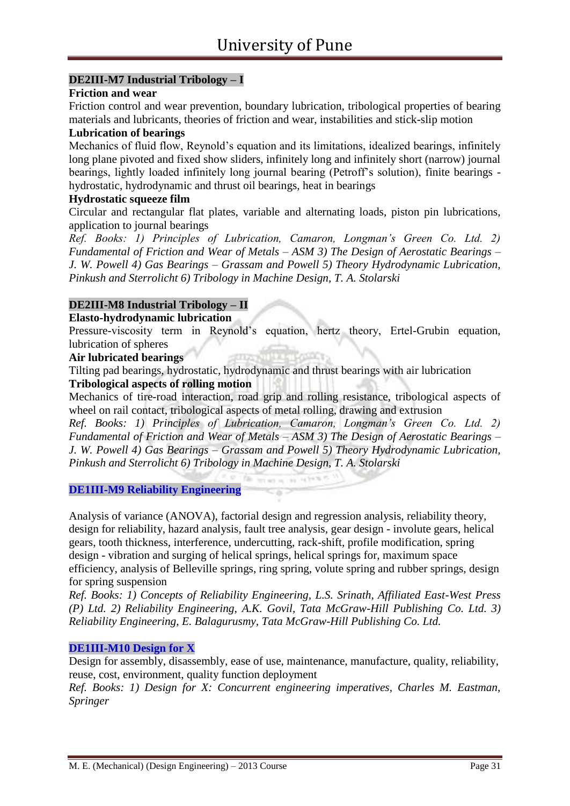### **DE2III-M7 Industrial Tribology – I**

#### **Friction and wear**

Friction control and wear prevention, boundary lubrication, tribological properties of bearing materials and lubricants, theories of friction and wear, instabilities and stick-slip motion

#### **Lubrication of bearings**

Mechanics of fluid flow, Reynold's equation and its limitations, idealized bearings, infinitely long plane pivoted and fixed show sliders, infinitely long and infinitely short (narrow) journal bearings, lightly loaded infinitely long journal bearing (Petroff's solution), finite bearings hydrostatic, hydrodynamic and thrust oil bearings, heat in bearings

#### **Hydrostatic squeeze film**

Circular and rectangular flat plates, variable and alternating loads, piston pin lubrications, application to journal bearings

*Ref. Books: 1) Principles of Lubrication, Camaron, Longman's Green Co. Ltd. 2) Fundamental of Friction and Wear of Metals – ASM 3) The Design of Aerostatic Bearings – J. W. Powell 4) Gas Bearings – Grassam and Powell 5) Theory Hydrodynamic Lubrication, Pinkush and Sterrolicht 6) Tribology in Machine Design, T. A. Stolarski*

#### **DE2III-M8 Industrial Tribology – II**

#### **Elasto-hydrodynamic lubrication**

Pressure-viscosity term in Reynold's equation, hertz theory, Ertel-Grubin equation, lubrication of spheres

#### **Air lubricated bearings**

Tilting pad bearings, hydrostatic, hydrodynamic and thrust bearings with air lubrication **Tribological aspects of rolling motion**

Mechanics of tire-road interaction, road grip and rolling resistance, tribological aspects of wheel on rail contact, tribological aspects of metal rolling, drawing and extrusion

*Ref. Books: 1) Principles of Lubrication, Camaron, Longman's Green Co. Ltd. 2) Fundamental of Friction and Wear of Metals – ASM 3) The Design of Aerostatic Bearings – J. W. Powell 4) Gas Bearings – Grassam and Powell 5) Theory Hydrodynamic Lubrication, Pinkush and Sterrolicht 6) Tribology in Machine Design, T. A. Stolarski*

**DE1III-M9 Reliability Engineering**

Analysis of variance (ANOVA), factorial design and regression analysis, reliability theory, design for reliability, hazard analysis, fault tree analysis, gear design - involute gears, helical gears, tooth thickness, interference, undercutting, rack-shift, profile modification, spring design - vibration and surging of helical springs, helical springs for, maximum space efficiency, analysis of Belleville springs, ring spring, volute spring and rubber springs, design for spring suspension

*Ref. Books: 1) Concepts of Reliability Engineering, L.S. Srinath, Affiliated East-West Press (P) Ltd. 2) Reliability Engineering, A.K. Govil, Tata McGraw-Hill Publishing Co. Ltd. 3) Reliability Engineering, E. Balagurusmy, Tata McGraw-Hill Publishing Co. Ltd.* 

#### **DE1III-M10 Design for X**

Design for assembly, disassembly, ease of use, maintenance, manufacture, quality, reliability, reuse, cost, environment, quality function deployment

*Ref. Books: 1) Design for X: Concurrent engineering imperatives, Charles M. Eastman, Springer*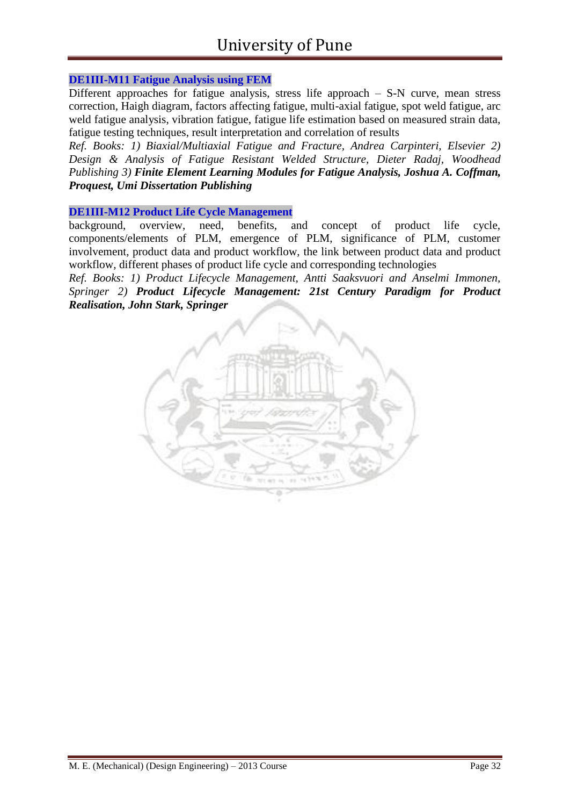#### **DE1III-M11 Fatigue Analysis using FEM**

Different approaches for fatigue analysis, stress life approach – S-N curve, mean stress correction, Haigh diagram, factors affecting fatigue, multi-axial fatigue, spot weld fatigue, arc weld fatigue analysis, vibration fatigue, fatigue life estimation based on measured strain data, fatigue testing techniques, result interpretation and correlation of results

*Ref. Books: 1) Biaxial/Multiaxial Fatigue and Fracture, Andrea Carpinteri, Elsevier 2) Design & Analysis of Fatigue Resistant Welded Structure, Dieter Radaj, Woodhead Publishing 3) Finite Element Learning Modules for Fatigue Analysis, Joshua A. Coffman, Proquest, Umi Dissertation Publishing*

#### **DE1III-M12 Product Life Cycle Management**

background, overview, need, benefits, and concept of product life cycle, components/elements of PLM, emergence of PLM, significance of PLM, customer involvement, product data and product workflow, the link between product data and product workflow, different phases of product life cycle and corresponding technologies

*Ref. Books: 1) Product Lifecycle Management, Antti Saaksvuori and Anselmi Immonen, Springer 2) Product Lifecycle Management: 21st Century Paradigm for Product Realisation, John Stark, Springer*

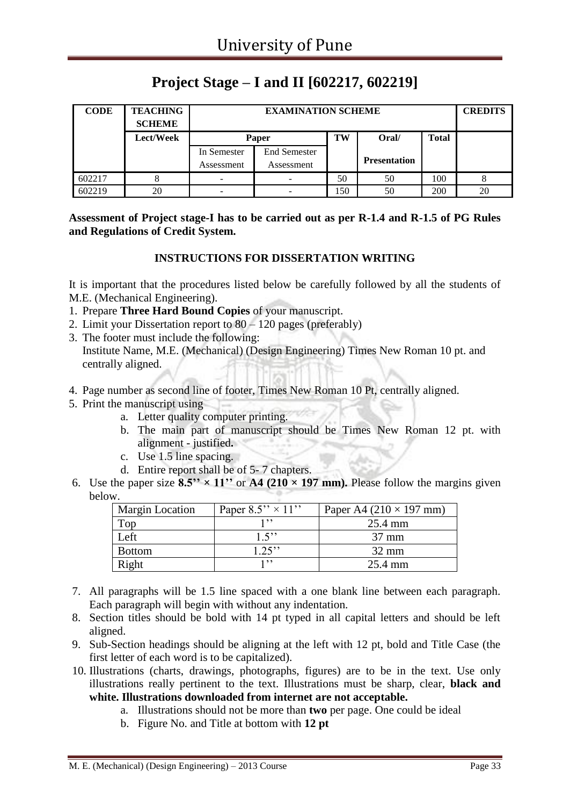## **Project Stage – I and II [602217, 602219]**

| <b>CODE</b> | <b>TEACHING</b><br><b>SCHEME</b> |                           | <b>CREDITS</b>                    |     |                     |              |    |
|-------------|----------------------------------|---------------------------|-----------------------------------|-----|---------------------|--------------|----|
|             | Lect/Week                        |                           | Paper                             | TW  | Oral/               | <b>Total</b> |    |
|             |                                  | In Semester<br>Assessment | <b>End Semester</b><br>Assessment |     | <b>Presentation</b> |              |    |
| 602217      |                                  |                           |                                   | 50  | 50                  | 100          |    |
| 602219      | 20                               | $\overline{\phantom{a}}$  |                                   | 150 | 50                  | <b>200</b>   | 20 |

**Assessment of Project stage-I has to be carried out as per R-1.4 and R-1.5 of PG Rules and Regulations of Credit System.**

#### **INSTRUCTIONS FOR DISSERTATION WRITING**

It is important that the procedures listed below be carefully followed by all the students of M.E. (Mechanical Engineering).

- 1. Prepare **Three Hard Bound Copies** of your manuscript.
- 2. Limit your Dissertation report to 80 120 pages (preferably)
- 3. The footer must include the following: Institute Name, M.E. (Mechanical) (Design Engineering) Times New Roman 10 pt. and centrally aligned.
- 4. Page number as second line of footer, Times New Roman 10 Pt, centrally aligned.
- 5. Print the manuscript using
	- a. Letter quality computer printing.
	- b. The main part of manuscript should be Times New Roman 12 pt. with alignment - justified**.**
	- c. Use 1.5 line spacing.
	- d. Entire report shall be of 5- 7 chapters.
- 6. Use the paper size  $8.5'' \times 11''$  or A4 (210  $\times$  197 mm). Please follow the margins given below.

| <b>Margin Location</b> | Paper $8.5'' \times 11''$ | Paper A4 $(210 \times 197$ mm) |
|------------------------|---------------------------|--------------------------------|
| Top                    | 1, 1, 1                   | 25.4 mm                        |
| Left                   | 1.5                       | $37 \text{ mm}$                |
| <b>Bottom</b>          | $1.25$ "                  | $32 \text{ mm}$                |
| Right                  | 1, 22                     | 25.4 mm                        |

- 7. All paragraphs will be 1.5 line spaced with a one blank line between each paragraph. Each paragraph will begin with without any indentation.
- 8. Section titles should be bold with 14 pt typed in all capital letters and should be left aligned.
- 9. Sub-Section headings should be aligning at the left with 12 pt, bold and Title Case (the first letter of each word is to be capitalized).
- 10. Illustrations (charts, drawings, photographs, figures) are to be in the text. Use only illustrations really pertinent to the text. Illustrations must be sharp, clear, **black and white. Illustrations downloaded from internet are not acceptable.** 
	- a. Illustrations should not be more than **two** per page. One could be ideal
	- b. Figure No. and Title at bottom with **12 pt**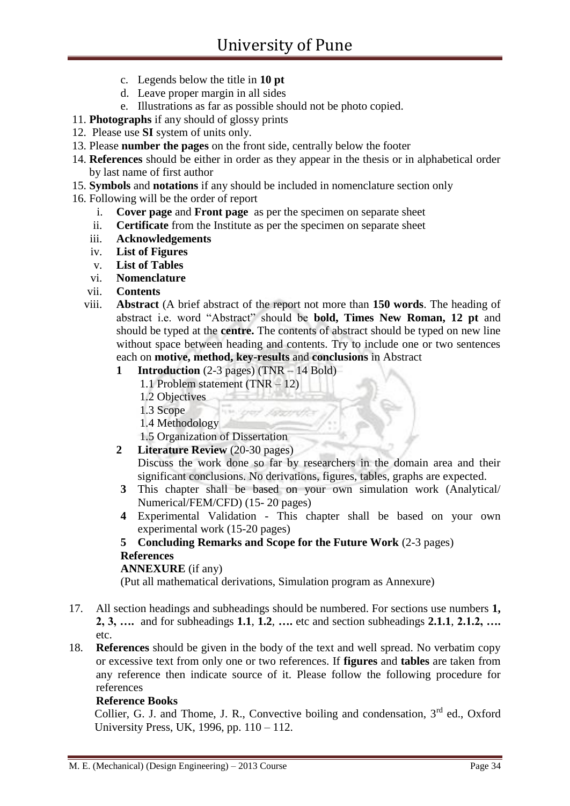- c. Legends below the title in **10 pt**
- d. Leave proper margin in all sides
- e. Illustrations as far as possible should not be photo copied.
- 11. **Photographs** if any should of glossy prints
- 12. Please use **SI** system of units only.
- 13. Please **number the pages** on the front side, centrally below the footer
- 14. **References** should be either in order as they appear in the thesis or in alphabetical order by last name of first author
- 15. **Symbols** and **notations** if any should be included in nomenclature section only
- 16. Following will be the order of report
	- i. **Cover page** and **Front page** as per the specimen on separate sheet
	- ii. **Certificate** from the Institute as per the specimen on separate sheet
	- iii. **Acknowledgements**
	- iv. **List of Figures**
	- v. **List of Tables**
	- vi. **Nomenclature**
	- vii. **Contents**
	- viii. **Abstract** (A brief abstract of the report not more than **150 words**. The heading of abstract i.e. word "Abstract" should be **bold, Times New Roman, 12 pt** and should be typed at the **centre.** The contents of abstract should be typed on new line without space between heading and contents. Try to include one or two sentences each on **motive, method, key-results** and **conclusions** in Abstract
		- **1 Introduction** (2-3 pages) (TNR 14 Bold)
			- 1.1 Problem statement (TNR 12)
			- 1.2 Objectives
			- 1.3 Scope
			- 1.4 Methodology
			- 1.5 Organization of Dissertation
		- **2 Literature Review** (20-30 pages) Discuss the work done so far by researchers in the domain area and their
		- significant conclusions. No derivations, figures, tables, graphs are expected. **3** This chapter shall be based on your own simulation work (Analytical/ Numerical/FEM/CFD) (15- 20 pages)
		- **4** Experimental Validation This chapter shall be based on your own experimental work (15-20 pages)

#### **5 Concluding Remarks and Scope for the Future Work** (2-3 pages) **References**

#### **ANNEXURE** (if any)

(Put all mathematical derivations, Simulation program as Annexure)

- 17. All section headings and subheadings should be numbered. For sections use numbers **1, 2, 3, ….** and for subheadings **1.1**, **1.2**, **….** etc and section subheadings **2.1.1**, **2.1.2, ….**  etc.
- 18. **References** should be given in the body of the text and well spread. No verbatim copy or excessive text from only one or two references. If **figures** and **tables** are taken from any reference then indicate source of it. Please follow the following procedure for references

#### **Reference Books**

Collier, G. J. and Thome, J. R., Convective boiling and condensation, 3<sup>rd</sup> ed., Oxford University Press, UK, 1996, pp. 110 – 112.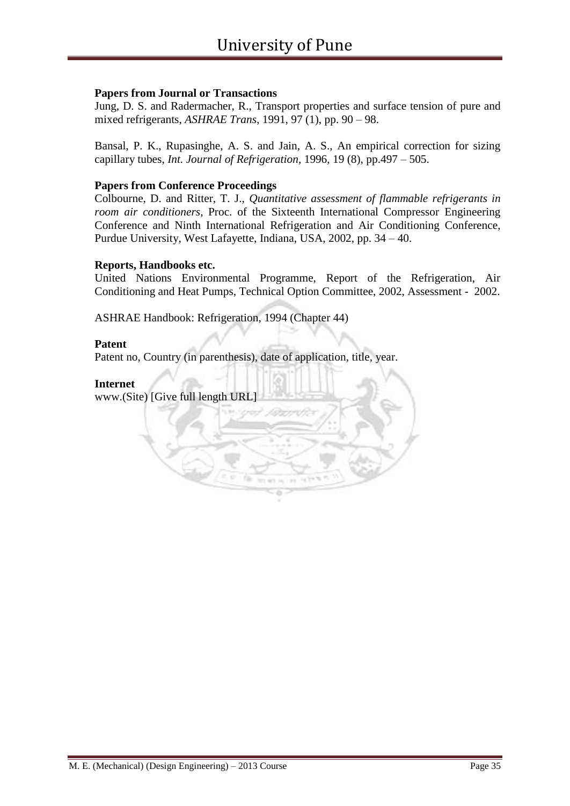#### **Papers from Journal or Transactions**

Jung, D. S. and Radermacher, R., Transport properties and surface tension of pure and mixed refrigerants, *ASHRAE Trans*, 1991, 97 (1), pp. 90 – 98.

Bansal, P. K., Rupasinghe, A. S. and Jain, A. S., An empirical correction for sizing capillary tubes, *Int. Journal of Refrigeration*, 1996, 19 (8), pp.497 – 505.

#### **Papers from Conference Proceedings**

Colbourne, D. and Ritter, T. J., *Quantitative assessment of flammable refrigerants in room air conditioners*, Proc. of the Sixteenth International Compressor Engineering Conference and Ninth International Refrigeration and Air Conditioning Conference, Purdue University, West Lafayette, Indiana, USA, 2002, pp. 34 – 40.

#### **Reports, Handbooks etc.**

United Nations Environmental Programme, Report of the Refrigeration, Air Conditioning and Heat Pumps, Technical Option Committee, 2002, Assessment - 2002.

ASHRAE Handbook: Refrigeration, 1994 (Chapter 44)

#### **Patent**

Patent no, Country (in parenthesis), date of application, title, year.

#### **Internet**

www.(Site) [Give full length URL]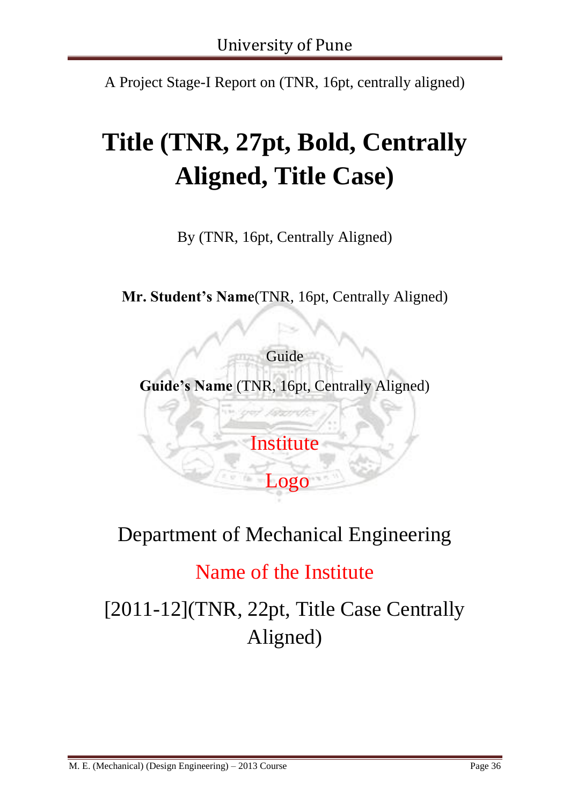A Project Stage-I Report on (TNR, 16pt, centrally aligned)

# **Title (TNR, 27pt, Bold, Centrally Aligned, Title Case)**

By (TNR, 16pt, Centrally Aligned)

**Mr. Student's Name**(TNR, 16pt, Centrally Aligned)

Guide **Guide's Name** (TNR, 16pt, Centrally Aligned)

**Institute** 

Logo

# Department of Mechanical Engineering

# Name of the Institute

[2011-12](TNR, 22pt, Title Case Centrally Aligned)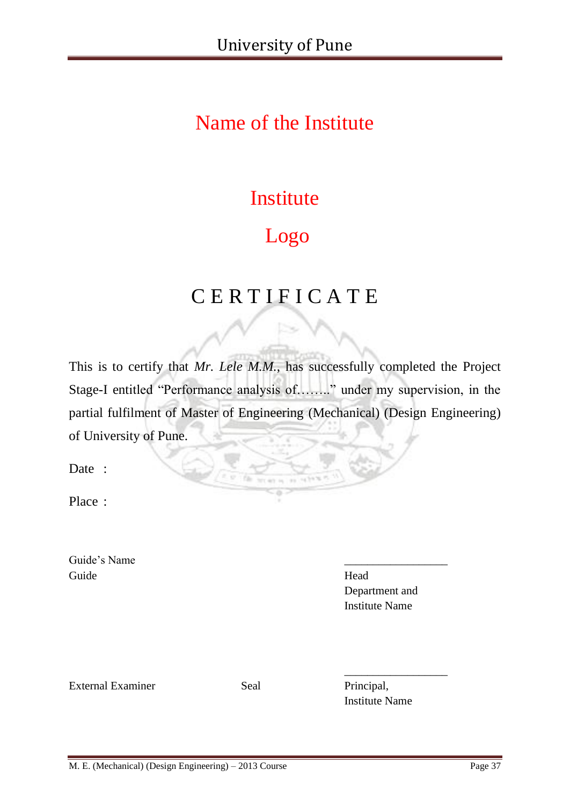# Name of the Institute

# Institute

# Logo

# C E R T I F I C A T E

This is to certify that *Mr. Lele M.M.*, has successfully completed the Project Stage-I entitled "Performance analysis of…….." under my supervision, in the partial fulfilment of Master of Engineering (Mechanical) (Design Engineering) of University of Pune.

Date :

Place :

Guide's Name Guide Head

Department and Institute Name

External Examiner Seal Principal,

Institute Name

\_\_\_\_\_\_\_\_\_\_\_\_\_\_\_\_\_\_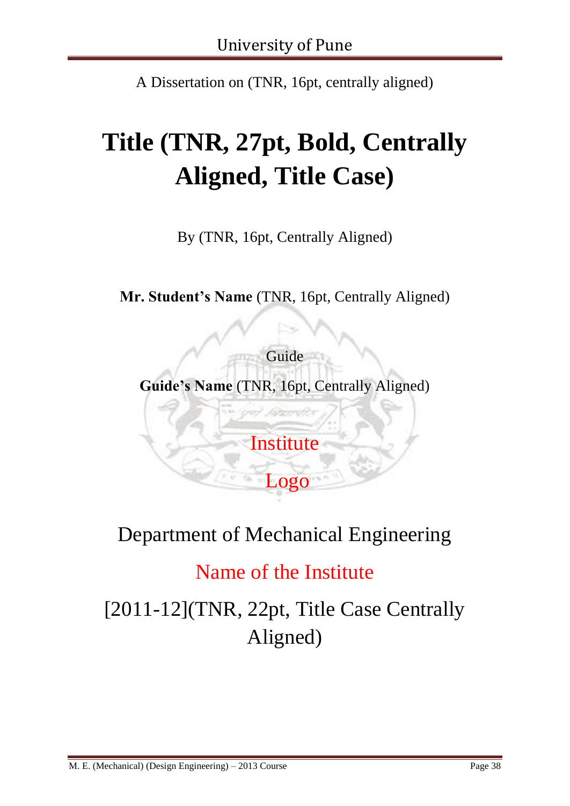A Dissertation on (TNR, 16pt, centrally aligned)

# **Title (TNR, 27pt, Bold, Centrally Aligned, Title Case)**

By (TNR, 16pt, Centrally Aligned)

**Mr. Student's Name** (TNR, 16pt, Centrally Aligned)

Guide **Guide's Name** (TNR, 16pt, Centrally Aligned)

**Institute** 

Logo

# Department of Mechanical Engineering

# Name of the Institute

[2011-12](TNR, 22pt, Title Case Centrally Aligned)